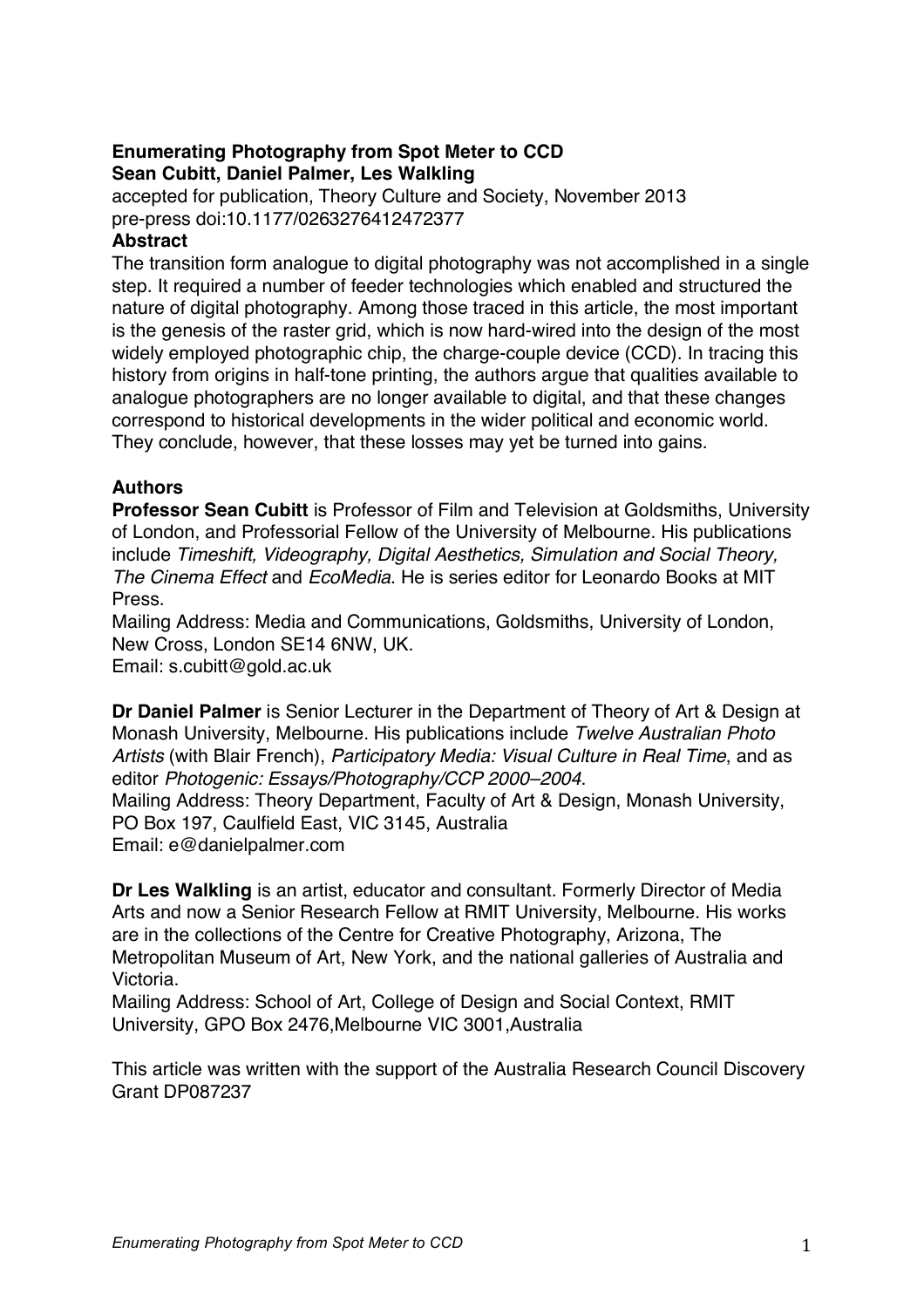# **Enumerating Photography from Spot Meter to CCD Sean Cubitt, Daniel Palmer, Les Walkling**

accepted for publication, Theory Culture and Society, November 2013 pre-press doi:10.1177/0263276412472377

### **Abstract**

The transition form analogue to digital photography was not accomplished in a single step. It required a number of feeder technologies which enabled and structured the nature of digital photography. Among those traced in this article, the most important is the genesis of the raster grid, which is now hard-wired into the design of the most widely employed photographic chip, the charge-couple device (CCD). In tracing this history from origins in half-tone printing, the authors argue that qualities available to analogue photographers are no longer available to digital, and that these changes correspond to historical developments in the wider political and economic world. They conclude, however, that these losses may yet be turned into gains.

## **Authors**

**Professor Sean Cubitt** is Professor of Film and Television at Goldsmiths, University of London, and Professorial Fellow of the University of Melbourne. His publications include *Timeshift, Videography, Digital Aesthetics, Simulation and Social Theory, The Cinema Effect* and *EcoMedia*. He is series editor for Leonardo Books at MIT Press.

Mailing Address: Media and Communications, Goldsmiths, University of London, New Cross, London SE14 6NW, UK.

Email: s.cubitt@gold.ac.uk

**Dr Daniel Palmer** is Senior Lecturer in the Department of Theory of Art & Design at Monash University, Melbourne. His publications include *Twelve Australian Photo Artists* (with Blair French), *Participatory Media: Visual Culture in Real Time*, and as editor *Photogenic: Essays/Photography/CCP 2000–2004*. Mailing Address: Theory Department, Faculty of Art & Design, Monash University,

PO Box 197, Caulfield East, VIC 3145, Australia Email: e@danielpalmer.com

**Dr Les Walkling** is an artist, educator and consultant. Formerly Director of Media Arts and now a Senior Research Fellow at RMIT University, Melbourne. His works are in the collections of the Centre for Creative Photography, Arizona, The Metropolitan Museum of Art, New York, and the national galleries of Australia and Victoria.

Mailing Address: School of Art, College of Design and Social Context, RMIT University, GPO Box 2476,Melbourne VIC 3001,Australia

This article was written with the support of the Australia Research Council Discovery Grant DP087237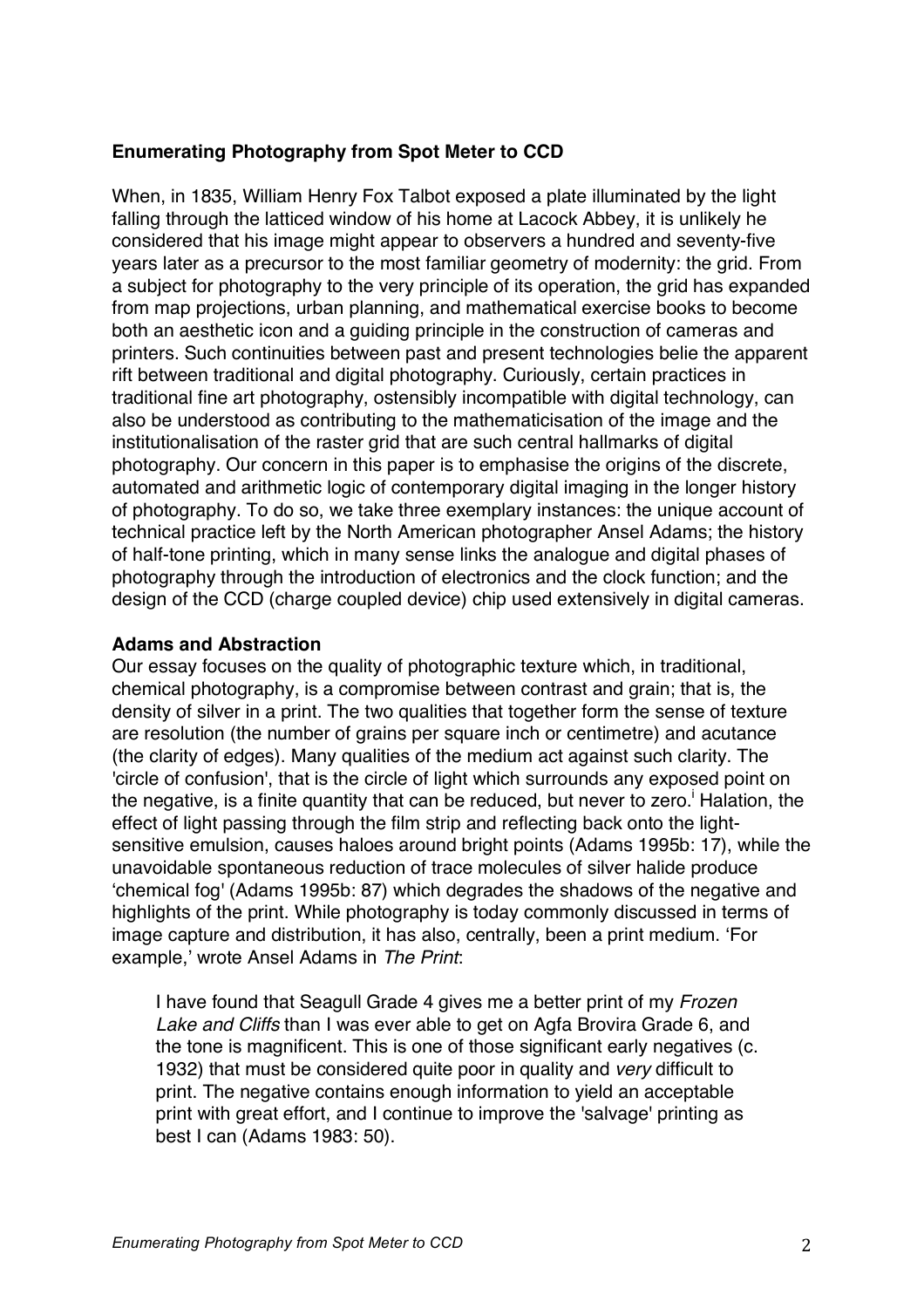## **Enumerating Photography from Spot Meter to CCD**

When, in 1835, William Henry Fox Talbot exposed a plate illuminated by the light falling through the latticed window of his home at Lacock Abbey, it is unlikely he considered that his image might appear to observers a hundred and seventy-five years later as a precursor to the most familiar geometry of modernity: the grid. From a subject for photography to the very principle of its operation, the grid has expanded from map projections, urban planning, and mathematical exercise books to become both an aesthetic icon and a guiding principle in the construction of cameras and printers. Such continuities between past and present technologies belie the apparent rift between traditional and digital photography. Curiously, certain practices in traditional fine art photography, ostensibly incompatible with digital technology, can also be understood as contributing to the mathematicisation of the image and the institutionalisation of the raster grid that are such central hallmarks of digital photography. Our concern in this paper is to emphasise the origins of the discrete, automated and arithmetic logic of contemporary digital imaging in the longer history of photography. To do so, we take three exemplary instances: the unique account of technical practice left by the North American photographer Ansel Adams; the history of half-tone printing, which in many sense links the analogue and digital phases of photography through the introduction of electronics and the clock function; and the design of the CCD (charge coupled device) chip used extensively in digital cameras.

#### **Adams and Abstraction**

Our essay focuses on the quality of photographic texture which, in traditional, chemical photography, is a compromise between contrast and grain; that is, the density of silver in a print. The two qualities that together form the sense of texture are resolution (the number of grains per square inch or centimetre) and acutance (the clarity of edges). Many qualities of the medium act against such clarity. The 'circle of confusion', that is the circle of light which surrounds any exposed point on the negative, is a finite quantity that can be reduced, but never to zero.<sup>i</sup> Halation, the effect of light passing through the film strip and reflecting back onto the lightsensitive emulsion, causes haloes around bright points (Adams 1995b: 17), while the unavoidable spontaneous reduction of trace molecules of silver halide produce ʻchemical fog' (Adams 1995b: 87) which degrades the shadows of the negative and highlights of the print. While photography is today commonly discussed in terms of image capture and distribution, it has also, centrally, been a print medium. ʻFor example,' wrote Ansel Adams in *The Print*:

I have found that Seagull Grade 4 gives me a better print of my *Frozen Lake and Cliffs* than I was ever able to get on Agfa Brovira Grade 6, and the tone is magnificent. This is one of those significant early negatives (c. 1932) that must be considered quite poor in quality and *very* difficult to print. The negative contains enough information to yield an acceptable print with great effort, and I continue to improve the 'salvage' printing as best I can (Adams 1983: 50).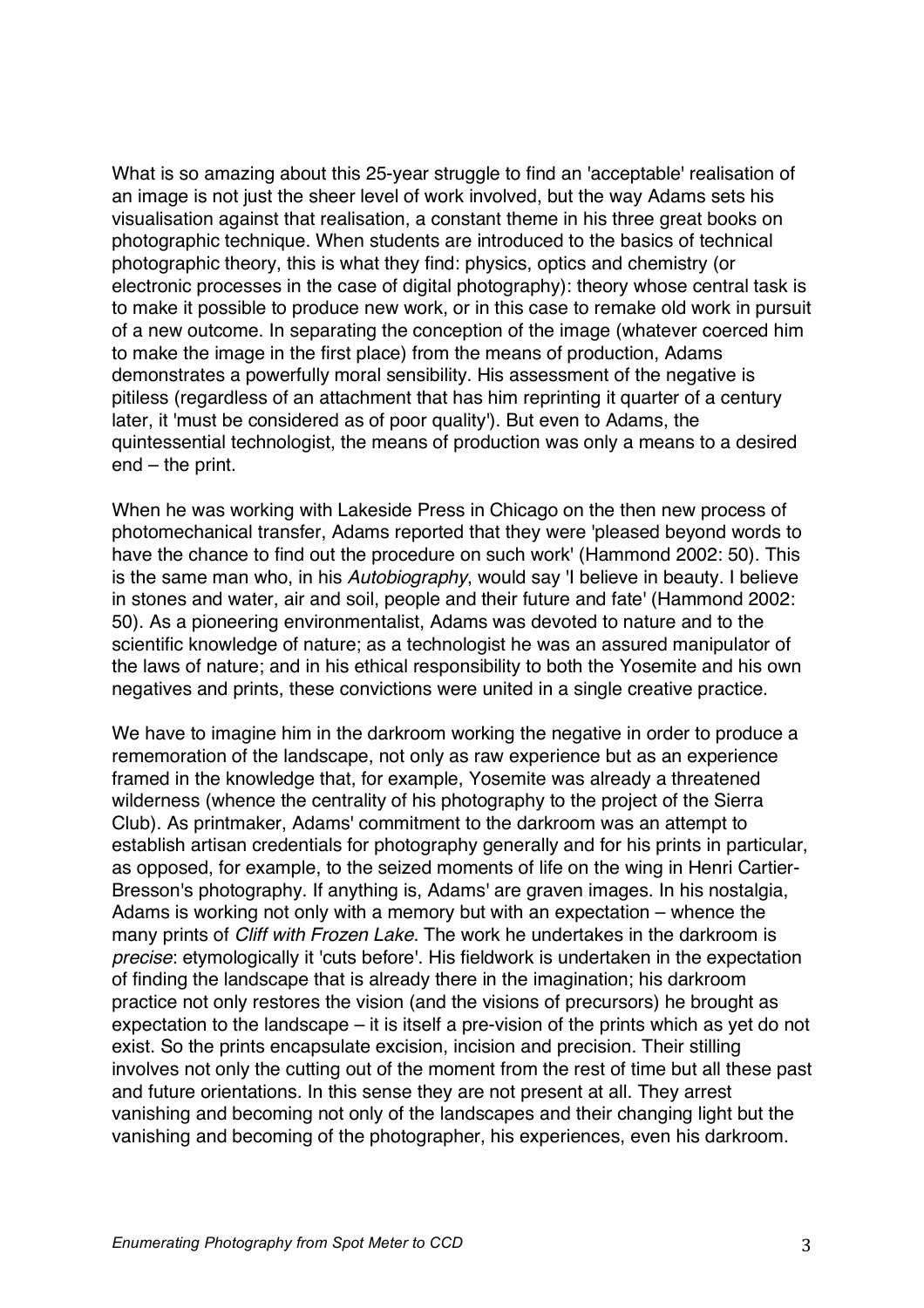What is so amazing about this 25-year struggle to find an 'acceptable' realisation of an image is not just the sheer level of work involved, but the way Adams sets his visualisation against that realisation, a constant theme in his three great books on photographic technique. When students are introduced to the basics of technical photographic theory, this is what they find: physics, optics and chemistry (or electronic processes in the case of digital photography): theory whose central task is to make it possible to produce new work, or in this case to remake old work in pursuit of a new outcome. In separating the conception of the image (whatever coerced him to make the image in the first place) from the means of production, Adams demonstrates a powerfully moral sensibility. His assessment of the negative is pitiless (regardless of an attachment that has him reprinting it quarter of a century later, it 'must be considered as of poor quality'). But even to Adams, the quintessential technologist, the means of production was only a means to a desired end – the print.

When he was working with Lakeside Press in Chicago on the then new process of photomechanical transfer, Adams reported that they were 'pleased beyond words to have the chance to find out the procedure on such work' (Hammond 2002: 50). This is the same man who, in his *Autobiography*, would say 'I believe in beauty. I believe in stones and water, air and soil, people and their future and fate' (Hammond 2002: 50). As a pioneering environmentalist, Adams was devoted to nature and to the scientific knowledge of nature; as a technologist he was an assured manipulator of the laws of nature; and in his ethical responsibility to both the Yosemite and his own negatives and prints, these convictions were united in a single creative practice.

We have to imagine him in the darkroom working the negative in order to produce a rememoration of the landscape, not only as raw experience but as an experience framed in the knowledge that, for example, Yosemite was already a threatened wilderness (whence the centrality of his photography to the project of the Sierra Club). As printmaker, Adams' commitment to the darkroom was an attempt to establish artisan credentials for photography generally and for his prints in particular, as opposed, for example, to the seized moments of life on the wing in Henri Cartier-Bresson's photography. If anything is, Adams' are graven images. In his nostalgia, Adams is working not only with a memory but with an expectation – whence the many prints of *Cliff with Frozen Lake*. The work he undertakes in the darkroom is *precise*: etymologically it 'cuts before'. His fieldwork is undertaken in the expectation of finding the landscape that is already there in the imagination; his darkroom practice not only restores the vision (and the visions of precursors) he brought as expectation to the landscape – it is itself a pre-vision of the prints which as yet do not exist. So the prints encapsulate excision, incision and precision. Their stilling involves not only the cutting out of the moment from the rest of time but all these past and future orientations. In this sense they are not present at all. They arrest vanishing and becoming not only of the landscapes and their changing light but the vanishing and becoming of the photographer, his experiences, even his darkroom.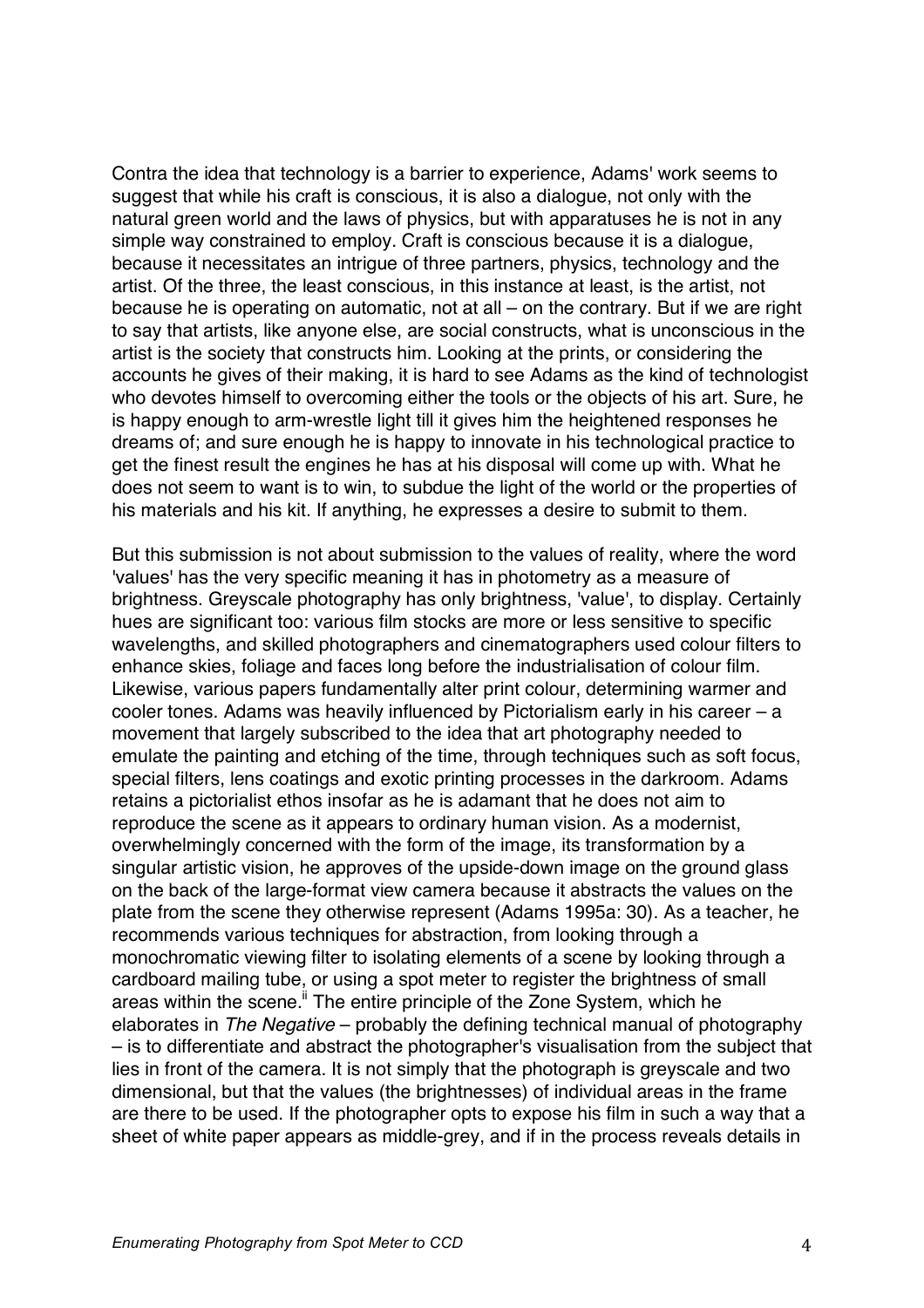Contra the idea that technology is a barrier to experience, Adams' work seems to suggest that while his craft is conscious, it is also a dialogue, not only with the natural green world and the laws of physics, but with apparatuses he is not in any simple way constrained to employ. Craft is conscious because it is a dialogue, because it necessitates an intrigue of three partners, physics, technology and the artist. Of the three, the least conscious, in this instance at least, is the artist, not because he is operating on automatic, not at all – on the contrary. But if we are right to say that artists, like anyone else, are social constructs, what is unconscious in the artist is the society that constructs him. Looking at the prints, or considering the accounts he gives of their making, it is hard to see Adams as the kind of technologist who devotes himself to overcoming either the tools or the objects of his art. Sure, he is happy enough to arm-wrestle light till it gives him the heightened responses he dreams of; and sure enough he is happy to innovate in his technological practice to get the finest result the engines he has at his disposal will come up with. What he does not seem to want is to win, to subdue the light of the world or the properties of his materials and his kit. If anything, he expresses a desire to submit to them.

But this submission is not about submission to the values of reality, where the word 'values' has the very specific meaning it has in photometry as a measure of brightness. Greyscale photography has only brightness, 'value', to display. Certainly hues are significant too: various film stocks are more or less sensitive to specific wavelengths, and skilled photographers and cinematographers used colour filters to enhance skies, foliage and faces long before the industrialisation of colour film. Likewise, various papers fundamentally alter print colour, determining warmer and cooler tones. Adams was heavily influenced by Pictorialism early in his career – a movement that largely subscribed to the idea that art photography needed to emulate the painting and etching of the time, through techniques such as soft focus, special filters, lens coatings and exotic printing processes in the darkroom. Adams retains a pictorialist ethos insofar as he is adamant that he does not aim to reproduce the scene as it appears to ordinary human vision. As a modernist, overwhelmingly concerned with the form of the image, its transformation by a singular artistic vision, he approves of the upside-down image on the ground glass on the back of the large-format view camera because it abstracts the values on the plate from the scene they otherwise represent (Adams 1995a: 30). As a teacher, he recommends various techniques for abstraction, from looking through a monochromatic viewing filter to isolating elements of a scene by looking through a cardboard mailing tube, or using a spot meter to register the brightness of small areas within the scene.<sup>ii</sup> The entire principle of the Zone System, which he elaborates in *The Negative* – probably the defining technical manual of photography – is to differentiate and abstract the photographer's visualisation from the subject that lies in front of the camera. It is not simply that the photograph is greyscale and two dimensional, but that the values (the brightnesses) of individual areas in the frame are there to be used. If the photographer opts to expose his film in such a way that a sheet of white paper appears as middle-grey, and if in the process reveals details in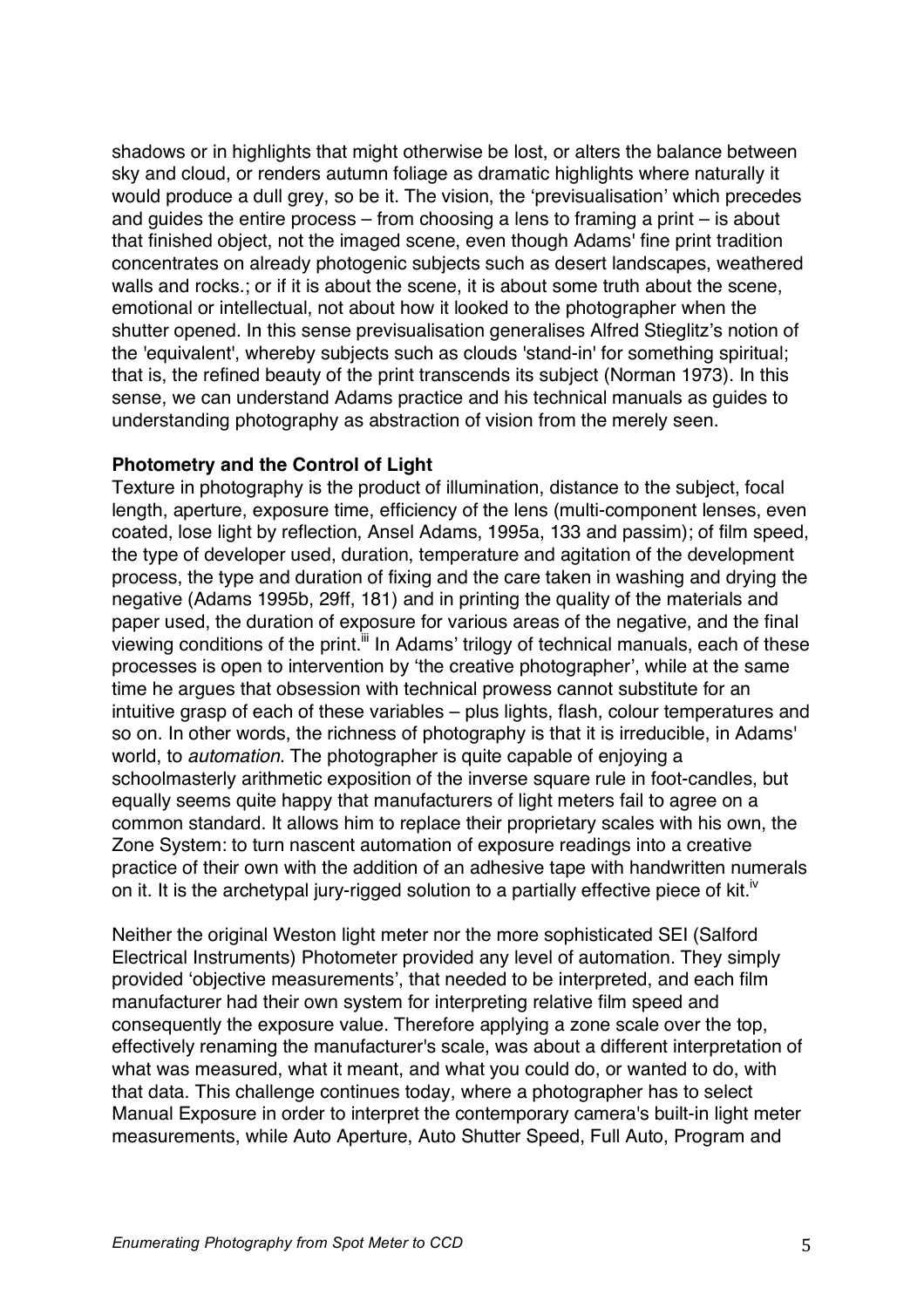shadows or in highlights that might otherwise be lost, or alters the balance between sky and cloud, or renders autumn foliage as dramatic highlights where naturally it would produce a dull grey, so be it. The vision, the ʻprevisualisation' which precedes and guides the entire process – from choosing a lens to framing a print – is about that finished object, not the imaged scene, even though Adams' fine print tradition concentrates on already photogenic subjects such as desert landscapes, weathered walls and rocks.; or if it is about the scene, it is about some truth about the scene, emotional or intellectual, not about how it looked to the photographer when the shutter opened. In this sense previsualisation generalises Alfred Stieglitz's notion of the 'equivalent', whereby subjects such as clouds 'stand-in' for something spiritual; that is, the refined beauty of the print transcends its subject (Norman 1973). In this sense, we can understand Adams practice and his technical manuals as guides to understanding photography as abstraction of vision from the merely seen.

#### **Photometry and the Control of Light**

Texture in photography is the product of illumination, distance to the subject, focal length, aperture, exposure time, efficiency of the lens (multi-component lenses, even coated, lose light by reflection, Ansel Adams, 1995a, 133 and passim); of film speed, the type of developer used, duration, temperature and agitation of the development process, the type and duration of fixing and the care taken in washing and drying the negative (Adams 1995b, 29ff, 181) and in printing the quality of the materials and paper used, the duration of exposure for various areas of the negative, and the final viewing conditions of the print.<sup>iii</sup> In Adams' trilogy of technical manuals, each of these processes is open to intervention by ʻthe creative photographer', while at the same time he argues that obsession with technical prowess cannot substitute for an intuitive grasp of each of these variables – plus lights, flash, colour temperatures and so on. In other words, the richness of photography is that it is irreducible, in Adams' world, to *automation*. The photographer is quite capable of enjoying a schoolmasterly arithmetic exposition of the inverse square rule in foot-candles, but equally seems quite happy that manufacturers of light meters fail to agree on a common standard. It allows him to replace their proprietary scales with his own, the Zone System: to turn nascent automation of exposure readings into a creative practice of their own with the addition of an adhesive tape with handwritten numerals on it. It is the archetypal jury-rigged solution to a partially effective piece of kit.<sup> $iv$ </sup>

Neither the original Weston light meter nor the more sophisticated SEI (Salford Electrical Instruments) Photometer provided any level of automation. They simply provided ʻobjective measurements', that needed to be interpreted, and each film manufacturer had their own system for interpreting relative film speed and consequently the exposure value. Therefore applying a zone scale over the top, effectively renaming the manufacturer's scale, was about a different interpretation of what was measured, what it meant, and what you could do, or wanted to do, with that data. This challenge continues today, where a photographer has to select Manual Exposure in order to interpret the contemporary camera's built-in light meter measurements, while Auto Aperture, Auto Shutter Speed, Full Auto, Program and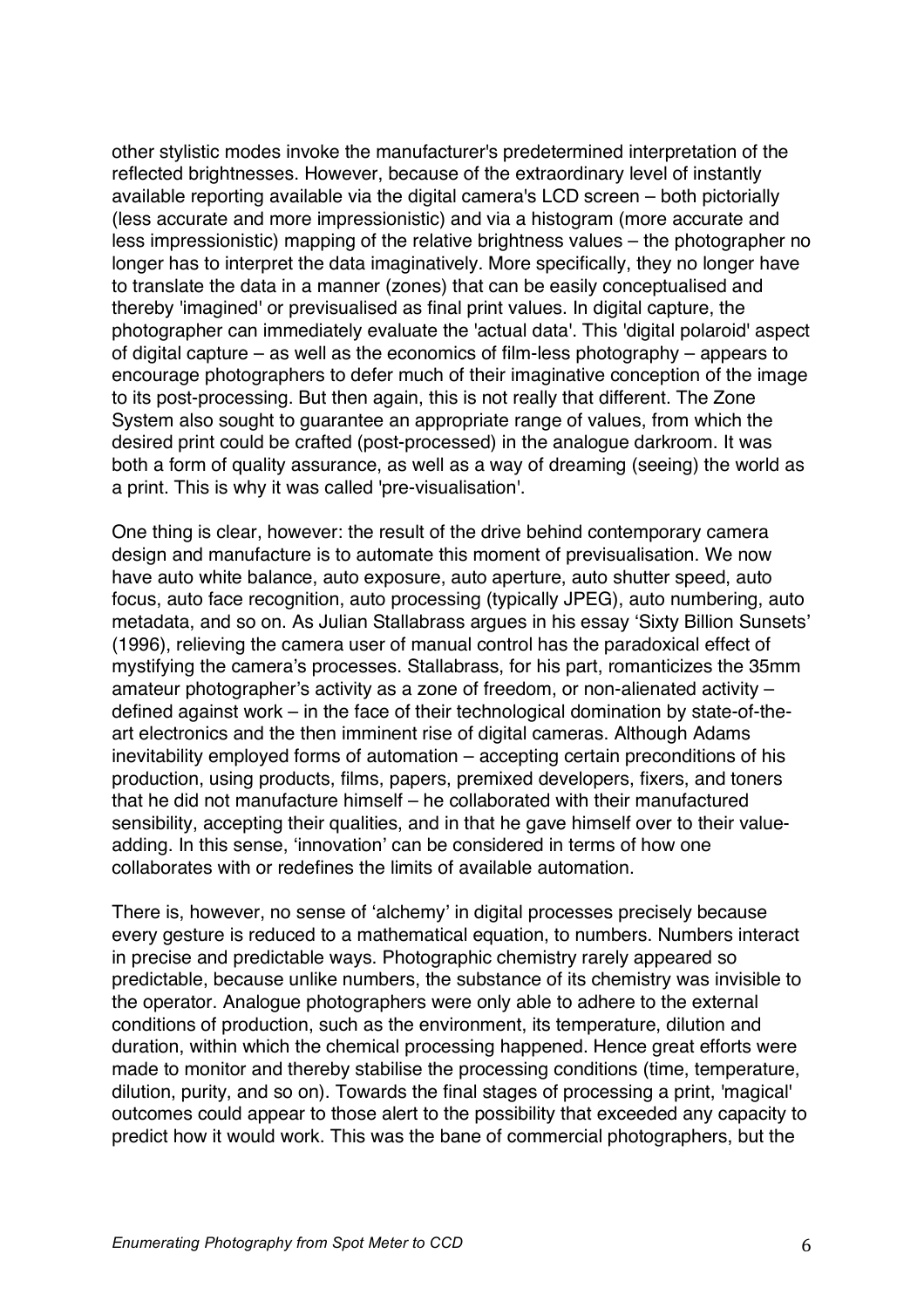other stylistic modes invoke the manufacturer's predetermined interpretation of the reflected brightnesses. However, because of the extraordinary level of instantly available reporting available via the digital camera's LCD screen – both pictorially (less accurate and more impressionistic) and via a histogram (more accurate and less impressionistic) mapping of the relative brightness values – the photographer no longer has to interpret the data imaginatively. More specifically, they no longer have to translate the data in a manner (zones) that can be easily conceptualised and thereby 'imagined' or previsualised as final print values. In digital capture, the photographer can immediately evaluate the 'actual data'. This 'digital polaroid' aspect of digital capture – as well as the economics of film-less photography – appears to encourage photographers to defer much of their imaginative conception of the image to its post-processing. But then again, this is not really that different. The Zone System also sought to guarantee an appropriate range of values, from which the desired print could be crafted (post-processed) in the analogue darkroom. It was both a form of quality assurance, as well as a way of dreaming (seeing) the world as a print. This is why it was called 'pre-visualisation'.

One thing is clear, however: the result of the drive behind contemporary camera design and manufacture is to automate this moment of previsualisation. We now have auto white balance, auto exposure, auto aperture, auto shutter speed, auto focus, auto face recognition, auto processing (typically JPEG), auto numbering, auto metadata, and so on. As Julian Stallabrass argues in his essay ʻSixty Billion Sunsets' (1996), relieving the camera user of manual control has the paradoxical effect of mystifying the camera's processes. Stallabrass, for his part, romanticizes the 35mm amateur photographer's activity as a zone of freedom, or non-alienated activity – defined against work – in the face of their technological domination by state-of-theart electronics and the then imminent rise of digital cameras. Although Adams inevitability employed forms of automation – accepting certain preconditions of his production, using products, films, papers, premixed developers, fixers, and toners that he did not manufacture himself – he collaborated with their manufactured sensibility, accepting their qualities, and in that he gave himself over to their valueadding. In this sense, ʻinnovation' can be considered in terms of how one collaborates with or redefines the limits of available automation.

There is, however, no sense of ʻalchemy' in digital processes precisely because every gesture is reduced to a mathematical equation, to numbers. Numbers interact in precise and predictable ways. Photographic chemistry rarely appeared so predictable, because unlike numbers, the substance of its chemistry was invisible to the operator. Analogue photographers were only able to adhere to the external conditions of production, such as the environment, its temperature, dilution and duration, within which the chemical processing happened. Hence great efforts were made to monitor and thereby stabilise the processing conditions (time, temperature, dilution, purity, and so on). Towards the final stages of processing a print, 'magical' outcomes could appear to those alert to the possibility that exceeded any capacity to predict how it would work. This was the bane of commercial photographers, but the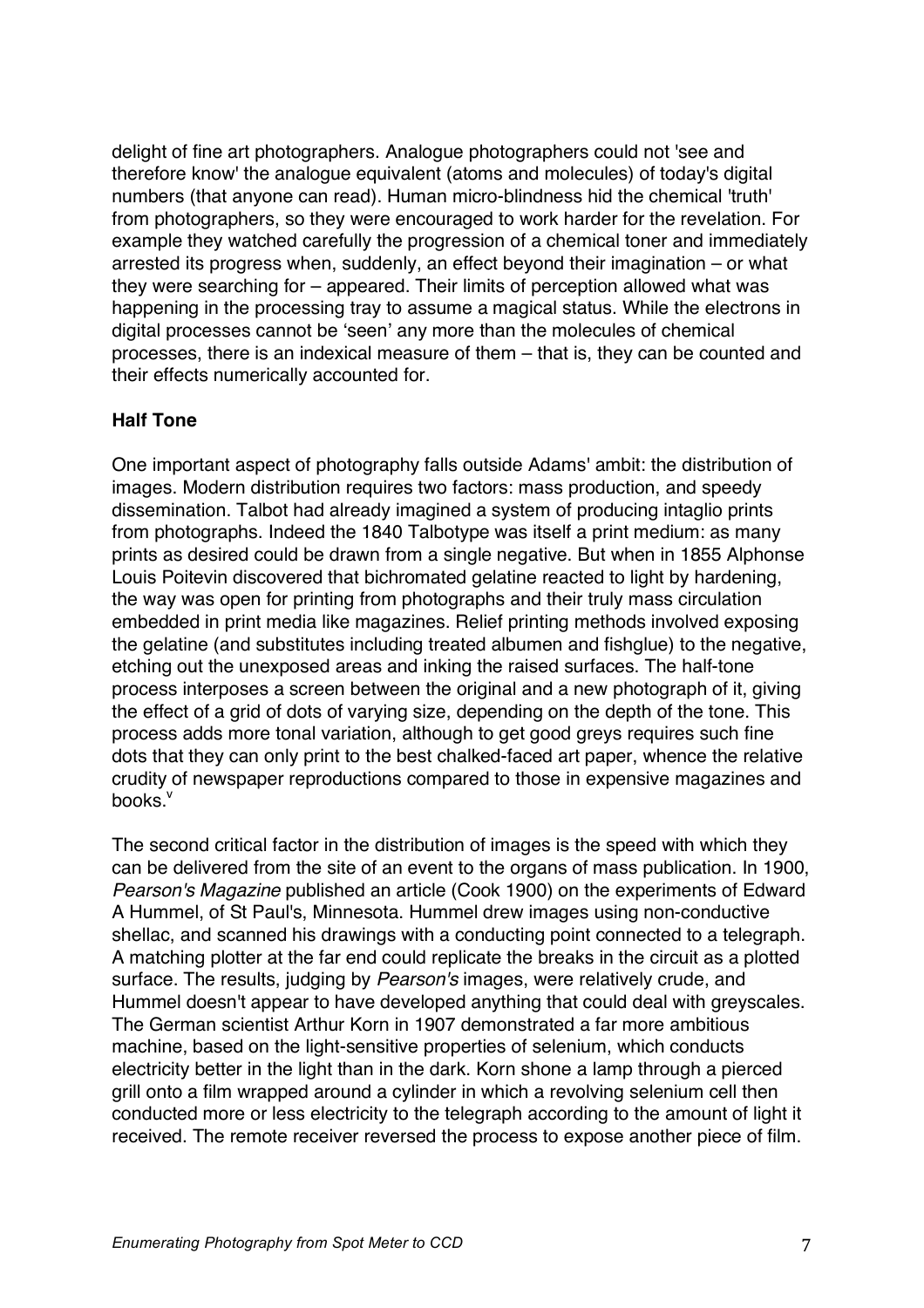delight of fine art photographers. Analogue photographers could not 'see and therefore know' the analogue equivalent (atoms and molecules) of today's digital numbers (that anyone can read). Human micro-blindness hid the chemical 'truth' from photographers, so they were encouraged to work harder for the revelation. For example they watched carefully the progression of a chemical toner and immediately arrested its progress when, suddenly, an effect beyond their imagination – or what they were searching for – appeared. Their limits of perception allowed what was happening in the processing tray to assume a magical status. While the electrons in digital processes cannot be ʻseen' any more than the molecules of chemical processes, there is an indexical measure of them – that is, they can be counted and their effects numerically accounted for.

#### **Half Tone**

One important aspect of photography falls outside Adams' ambit: the distribution of images. Modern distribution requires two factors: mass production, and speedy dissemination. Talbot had already imagined a system of producing intaglio prints from photographs. Indeed the 1840 Talbotype was itself a print medium: as many prints as desired could be drawn from a single negative. But when in 1855 Alphonse Louis Poitevin discovered that bichromated gelatine reacted to light by hardening, the way was open for printing from photographs and their truly mass circulation embedded in print media like magazines. Relief printing methods involved exposing the gelatine (and substitutes including treated albumen and fishglue) to the negative, etching out the unexposed areas and inking the raised surfaces. The half-tone process interposes a screen between the original and a new photograph of it, giving the effect of a grid of dots of varying size, depending on the depth of the tone. This process adds more tonal variation, although to get good greys requires such fine dots that they can only print to the best chalked-faced art paper, whence the relative crudity of newspaper reproductions compared to those in expensive magazines and books.<sup>v</sup>

The second critical factor in the distribution of images is the speed with which they can be delivered from the site of an event to the organs of mass publication. In 1900, *Pearson's Magazine* published an article (Cook 1900) on the experiments of Edward A Hummel, of St Paul's, Minnesota. Hummel drew images using non-conductive shellac, and scanned his drawings with a conducting point connected to a telegraph. A matching plotter at the far end could replicate the breaks in the circuit as a plotted surface. The results, judging by *Pearson's* images, were relatively crude, and Hummel doesn't appear to have developed anything that could deal with greyscales. The German scientist Arthur Korn in 1907 demonstrated a far more ambitious machine, based on the light-sensitive properties of selenium, which conducts electricity better in the light than in the dark. Korn shone a lamp through a pierced grill onto a film wrapped around a cylinder in which a revolving selenium cell then conducted more or less electricity to the telegraph according to the amount of light it received. The remote receiver reversed the process to expose another piece of film.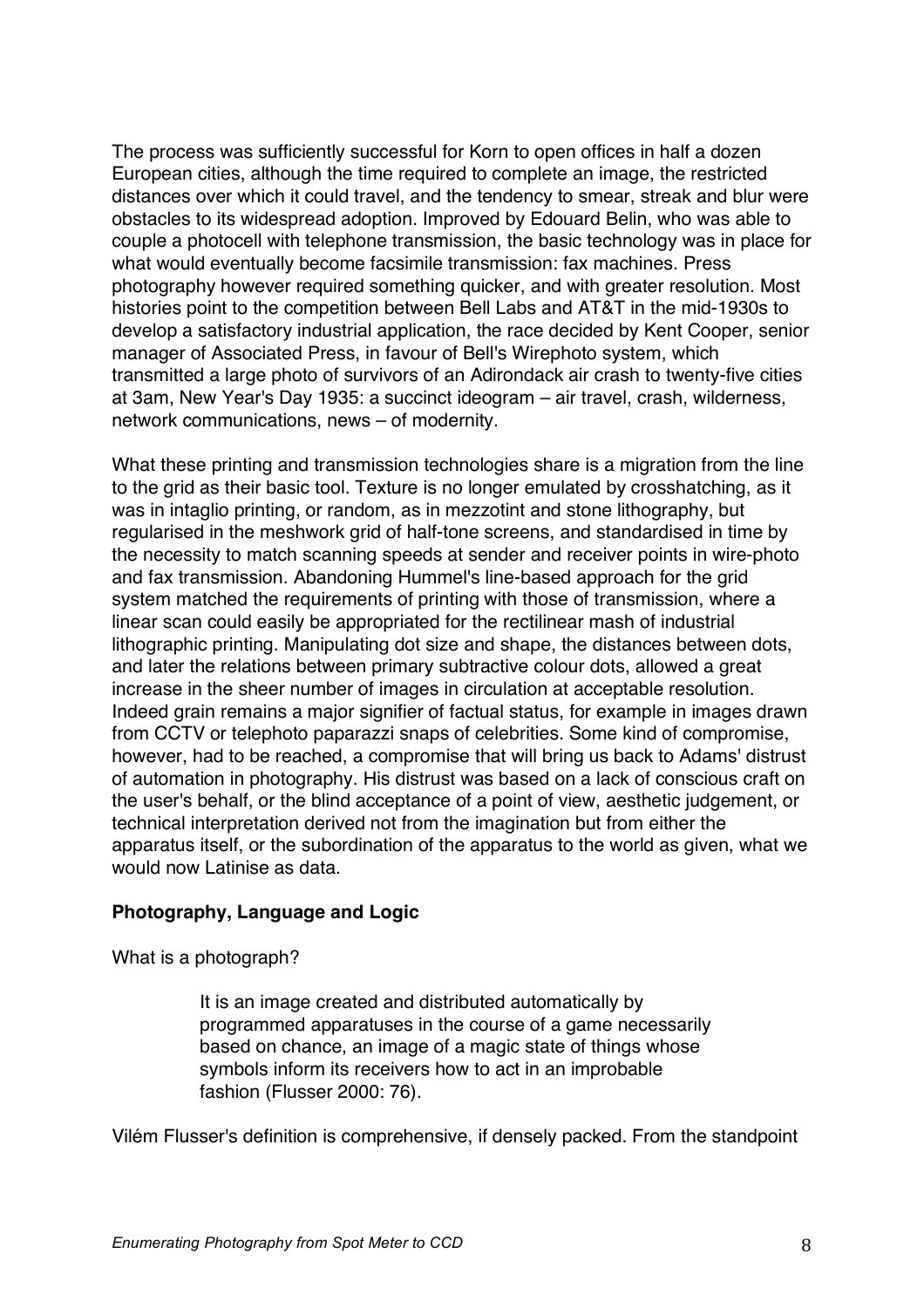The process was sufficiently successful for Korn to open offices in half a dozen European cities, although the time required to complete an image, the restricted distances over which it could travel, and the tendency to smear, streak and blur were obstacles to its widespread adoption. Improved by Edouard Belin, who was able to couple a photocell with telephone transmission, the basic technology was in place for what would eventually become facsimile transmission: fax machines. Press photography however required something quicker, and with greater resolution. Most histories point to the competition between Bell Labs and AT&T in the mid-1930s to develop a satisfactory industrial application, the race decided by Kent Cooper, senior manager of Associated Press, in favour of Bell's Wirephoto system, which transmitted a large photo of survivors of an Adirondack air crash to twenty-five cities at 3am, New Year's Day 1935: a succinct ideogram – air travel, crash, wilderness, network communications, news – of modernity.

What these printing and transmission technologies share is a migration from the line to the grid as their basic tool. Texture is no longer emulated by crosshatching, as it was in intaglio printing, or random, as in mezzotint and stone lithography, but regularised in the meshwork grid of half-tone screens, and standardised in time by the necessity to match scanning speeds at sender and receiver points in wire-photo and fax transmission. Abandoning Hummel's line-based approach for the grid system matched the requirements of printing with those of transmission, where a linear scan could easily be appropriated for the rectilinear mash of industrial lithographic printing. Manipulating dot size and shape, the distances between dots, and later the relations between primary subtractive colour dots, allowed a great increase in the sheer number of images in circulation at acceptable resolution. Indeed grain remains a major signifier of factual status, for example in images drawn from CCTV or telephoto paparazzi snaps of celebrities. Some kind of compromise, however, had to be reached, a compromise that will bring us back to Adams' distrust of automation in photography. His distrust was based on a lack of conscious craft on the user's behalf, or the blind acceptance of a point of view, aesthetic judgement, or technical interpretation derived not from the imagination but from either the apparatus itself, or the subordination of the apparatus to the world as given, what we would now Latinise as data.

#### **Photography, Language and Logic**

What is a photograph?

It is an image created and distributed automatically by programmed apparatuses in the course of a game necessarily based on chance, an image of a magic state of things whose symbols inform its receivers how to act in an improbable fashion (Flusser 2000: 76).

Vilém Flusser's definition is comprehensive, if densely packed. From the standpoint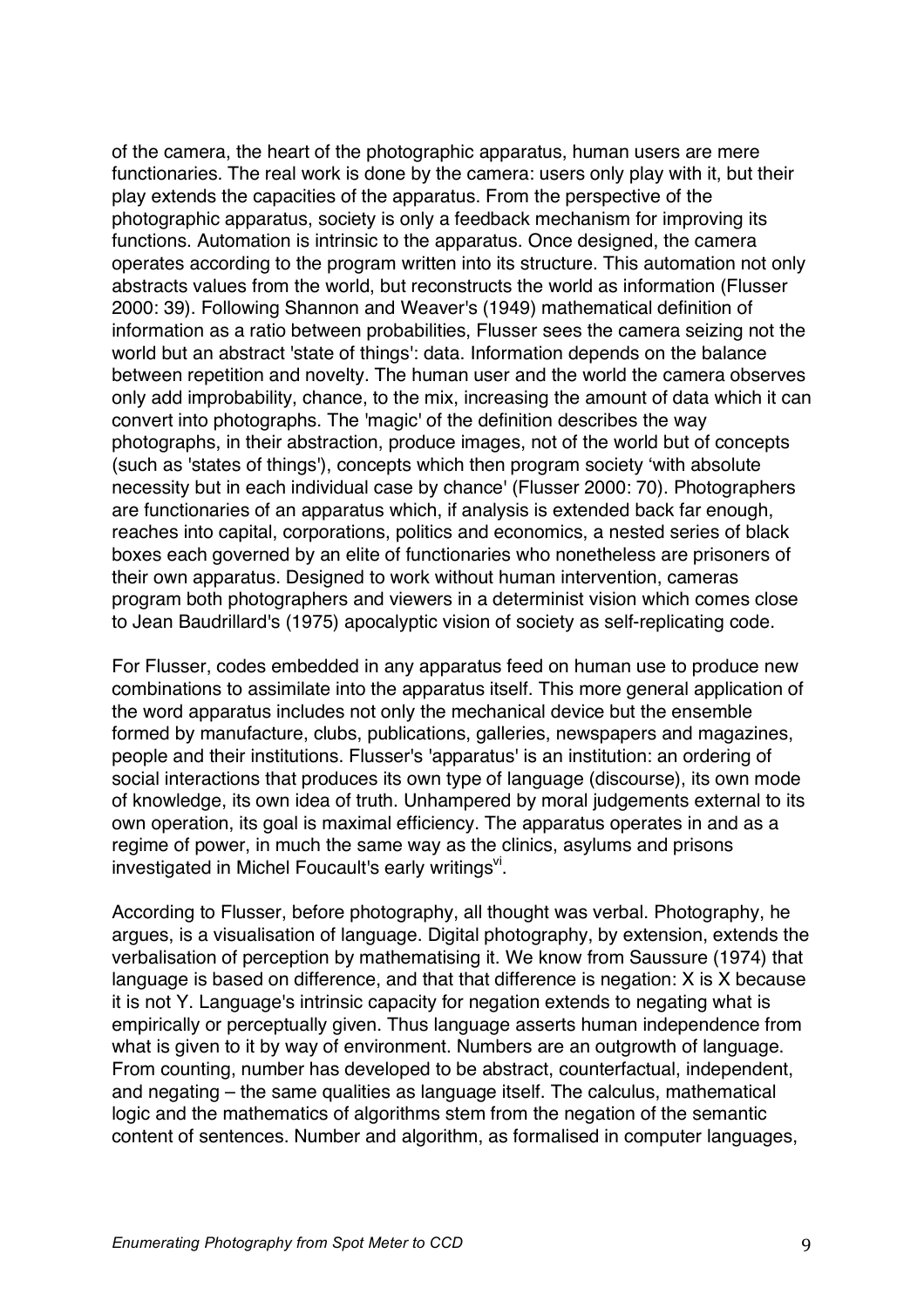of the camera, the heart of the photographic apparatus, human users are mere functionaries. The real work is done by the camera: users only play with it, but their play extends the capacities of the apparatus. From the perspective of the photographic apparatus, society is only a feedback mechanism for improving its functions. Automation is intrinsic to the apparatus. Once designed, the camera operates according to the program written into its structure. This automation not only abstracts values from the world, but reconstructs the world as information (Flusser 2000: 39). Following Shannon and Weaver's (1949) mathematical definition of information as a ratio between probabilities, Flusser sees the camera seizing not the world but an abstract 'state of things': data. Information depends on the balance between repetition and novelty. The human user and the world the camera observes only add improbability, chance, to the mix, increasing the amount of data which it can convert into photographs. The 'magic' of the definition describes the way photographs, in their abstraction, produce images, not of the world but of concepts (such as 'states of things'), concepts which then program society ʻwith absolute necessity but in each individual case by chance' (Flusser 2000: 70). Photographers are functionaries of an apparatus which, if analysis is extended back far enough, reaches into capital, corporations, politics and economics, a nested series of black boxes each governed by an elite of functionaries who nonetheless are prisoners of their own apparatus. Designed to work without human intervention, cameras program both photographers and viewers in a determinist vision which comes close to Jean Baudrillard's (1975) apocalyptic vision of society as self-replicating code.

For Flusser, codes embedded in any apparatus feed on human use to produce new combinations to assimilate into the apparatus itself. This more general application of the word apparatus includes not only the mechanical device but the ensemble formed by manufacture, clubs, publications, galleries, newspapers and magazines, people and their institutions. Flusser's 'apparatus' is an institution: an ordering of social interactions that produces its own type of language (discourse), its own mode of knowledge, its own idea of truth. Unhampered by moral judgements external to its own operation, its goal is maximal efficiency. The apparatus operates in and as a regime of power, in much the same way as the clinics, asylums and prisons investigated in Michel Foucault's early writings<sup>vi</sup>.

According to Flusser, before photography, all thought was verbal. Photography, he argues, is a visualisation of language. Digital photography, by extension, extends the verbalisation of perception by mathematising it. We know from Saussure (1974) that language is based on difference, and that that difference is negation: X is X because it is not Y. Language's intrinsic capacity for negation extends to negating what is empirically or perceptually given. Thus language asserts human independence from what is given to it by way of environment. Numbers are an outgrowth of language. From counting, number has developed to be abstract, counterfactual, independent, and negating – the same qualities as language itself. The calculus, mathematical logic and the mathematics of algorithms stem from the negation of the semantic content of sentences. Number and algorithm, as formalised in computer languages,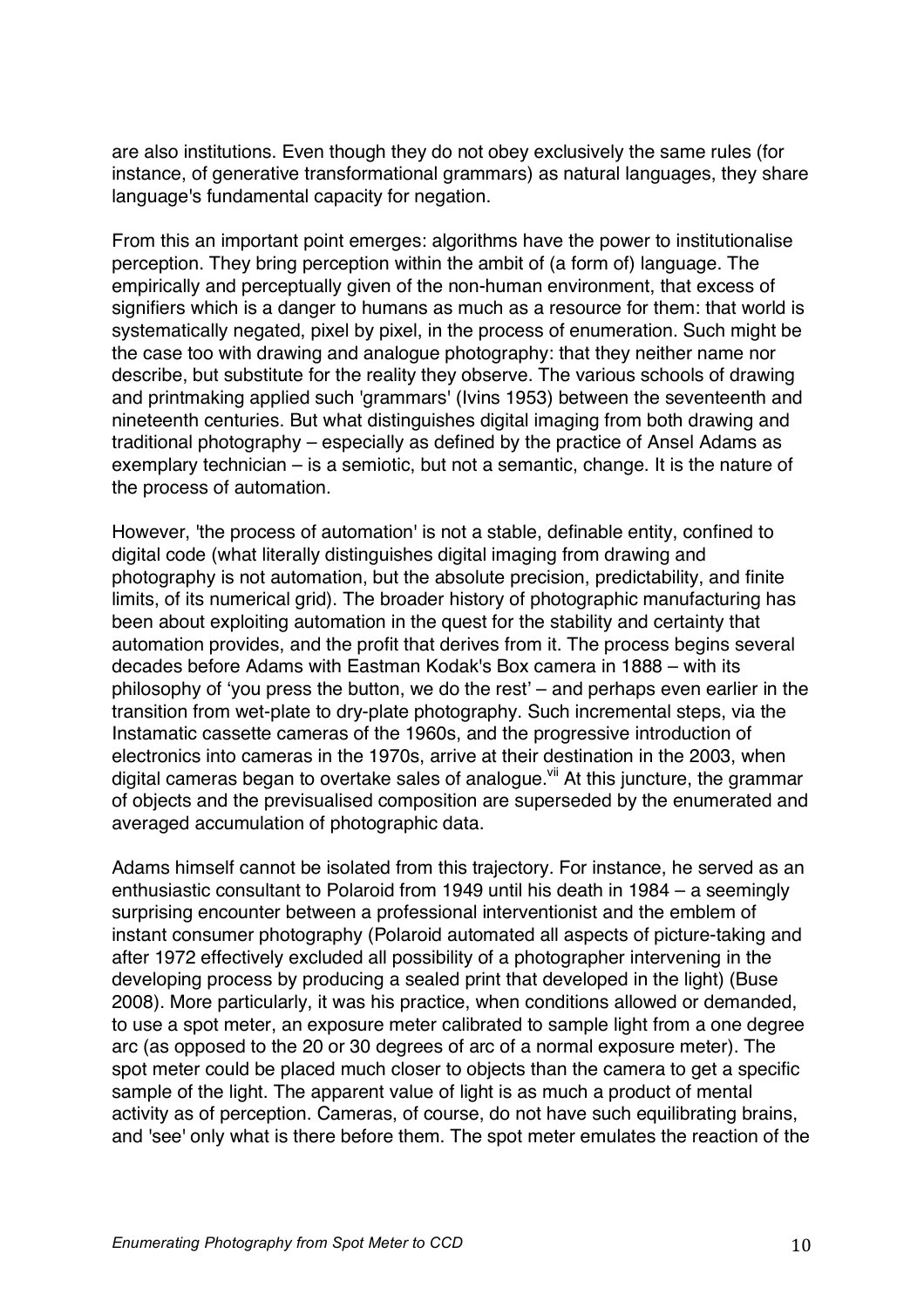are also institutions. Even though they do not obey exclusively the same rules (for instance, of generative transformational grammars) as natural languages, they share language's fundamental capacity for negation.

From this an important point emerges: algorithms have the power to institutionalise perception. They bring perception within the ambit of (a form of) language. The empirically and perceptually given of the non-human environment, that excess of signifiers which is a danger to humans as much as a resource for them: that world is systematically negated, pixel by pixel, in the process of enumeration. Such might be the case too with drawing and analogue photography: that they neither name nor describe, but substitute for the reality they observe. The various schools of drawing and printmaking applied such 'grammars' (Ivins 1953) between the seventeenth and nineteenth centuries. But what distinguishes digital imaging from both drawing and traditional photography – especially as defined by the practice of Ansel Adams as exemplary technician – is a semiotic, but not a semantic, change. It is the nature of the process of automation.

However, 'the process of automation' is not a stable, definable entity, confined to digital code (what literally distinguishes digital imaging from drawing and photography is not automation, but the absolute precision, predictability, and finite limits, of its numerical grid). The broader history of photographic manufacturing has been about exploiting automation in the quest for the stability and certainty that automation provides, and the profit that derives from it. The process begins several decades before Adams with Eastman Kodak's Box camera in 1888 – with its philosophy of ʻyou press the button, we do the rest' – and perhaps even earlier in the transition from wet-plate to dry-plate photography. Such incremental steps, via the Instamatic cassette cameras of the 1960s, and the progressive introduction of electronics into cameras in the 1970s, arrive at their destination in the 2003, when digital cameras began to overtake sales of analogue.<sup>vii</sup> At this juncture, the grammar of objects and the previsualised composition are superseded by the enumerated and averaged accumulation of photographic data.

Adams himself cannot be isolated from this trajectory. For instance, he served as an enthusiastic consultant to Polaroid from 1949 until his death in 1984 – a seemingly surprising encounter between a professional interventionist and the emblem of instant consumer photography (Polaroid automated all aspects of picture-taking and after 1972 effectively excluded all possibility of a photographer intervening in the developing process by producing a sealed print that developed in the light) (Buse 2008). More particularly, it was his practice, when conditions allowed or demanded, to use a spot meter, an exposure meter calibrated to sample light from a one degree arc (as opposed to the 20 or 30 degrees of arc of a normal exposure meter). The spot meter could be placed much closer to objects than the camera to get a specific sample of the light. The apparent value of light is as much a product of mental activity as of perception. Cameras, of course, do not have such equilibrating brains, and 'see' only what is there before them. The spot meter emulates the reaction of the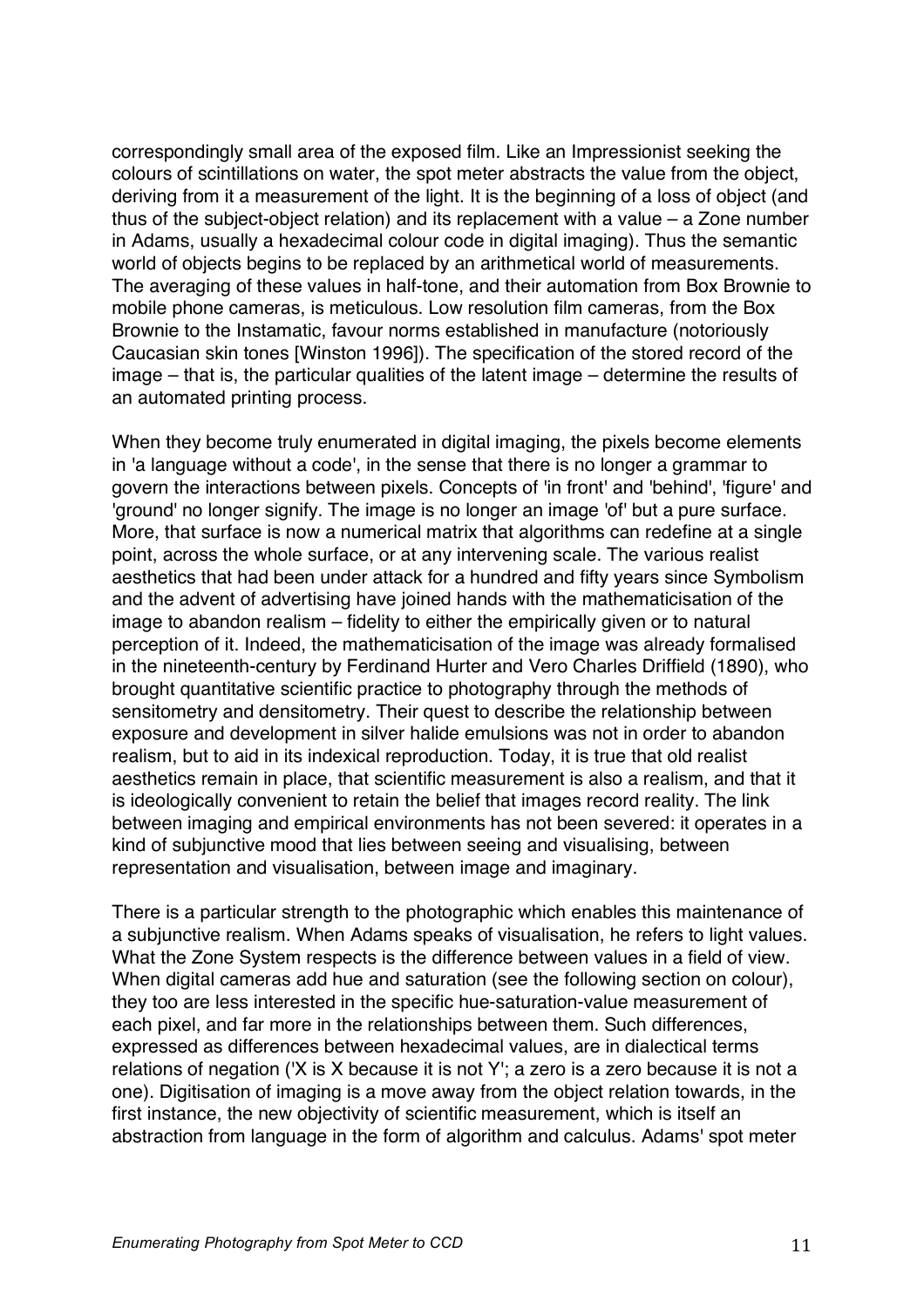correspondingly small area of the exposed film. Like an Impressionist seeking the colours of scintillations on water, the spot meter abstracts the value from the object, deriving from it a measurement of the light. It is the beginning of a loss of object (and thus of the subject-object relation) and its replacement with a value – a Zone number in Adams, usually a hexadecimal colour code in digital imaging). Thus the semantic world of objects begins to be replaced by an arithmetical world of measurements. The averaging of these values in half-tone, and their automation from Box Brownie to mobile phone cameras, is meticulous. Low resolution film cameras, from the Box Brownie to the Instamatic, favour norms established in manufacture (notoriously Caucasian skin tones [Winston 1996]). The specification of the stored record of the image – that is, the particular qualities of the latent image – determine the results of an automated printing process.

When they become truly enumerated in digital imaging, the pixels become elements in 'a language without a code', in the sense that there is no longer a grammar to govern the interactions between pixels. Concepts of 'in front' and 'behind', 'figure' and 'ground' no longer signify. The image is no longer an image 'of' but a pure surface. More, that surface is now a numerical matrix that algorithms can redefine at a single point, across the whole surface, or at any intervening scale. The various realist aesthetics that had been under attack for a hundred and fifty years since Symbolism and the advent of advertising have joined hands with the mathematicisation of the image to abandon realism – fidelity to either the empirically given or to natural perception of it. Indeed, the mathematicisation of the image was already formalised in the nineteenth-century by Ferdinand Hurter and Vero Charles Driffield (1890), who brought quantitative scientific practice to photography through the methods of sensitometry and densitometry. Their quest to describe the relationship between exposure and development in silver halide emulsions was not in order to abandon realism, but to aid in its indexical reproduction. Today, it is true that old realist aesthetics remain in place, that scientific measurement is also a realism, and that it is ideologically convenient to retain the belief that images record reality. The link between imaging and empirical environments has not been severed: it operates in a kind of subjunctive mood that lies between seeing and visualising, between representation and visualisation, between image and imaginary.

There is a particular strength to the photographic which enables this maintenance of a subjunctive realism. When Adams speaks of visualisation, he refers to light values. What the Zone System respects is the difference between values in a field of view. When digital cameras add hue and saturation (see the following section on colour), they too are less interested in the specific hue-saturation-value measurement of each pixel, and far more in the relationships between them. Such differences, expressed as differences between hexadecimal values, are in dialectical terms relations of negation ('X is X because it is not Y'; a zero is a zero because it is not a one). Digitisation of imaging is a move away from the object relation towards, in the first instance, the new objectivity of scientific measurement, which is itself an abstraction from language in the form of algorithm and calculus. Adams' spot meter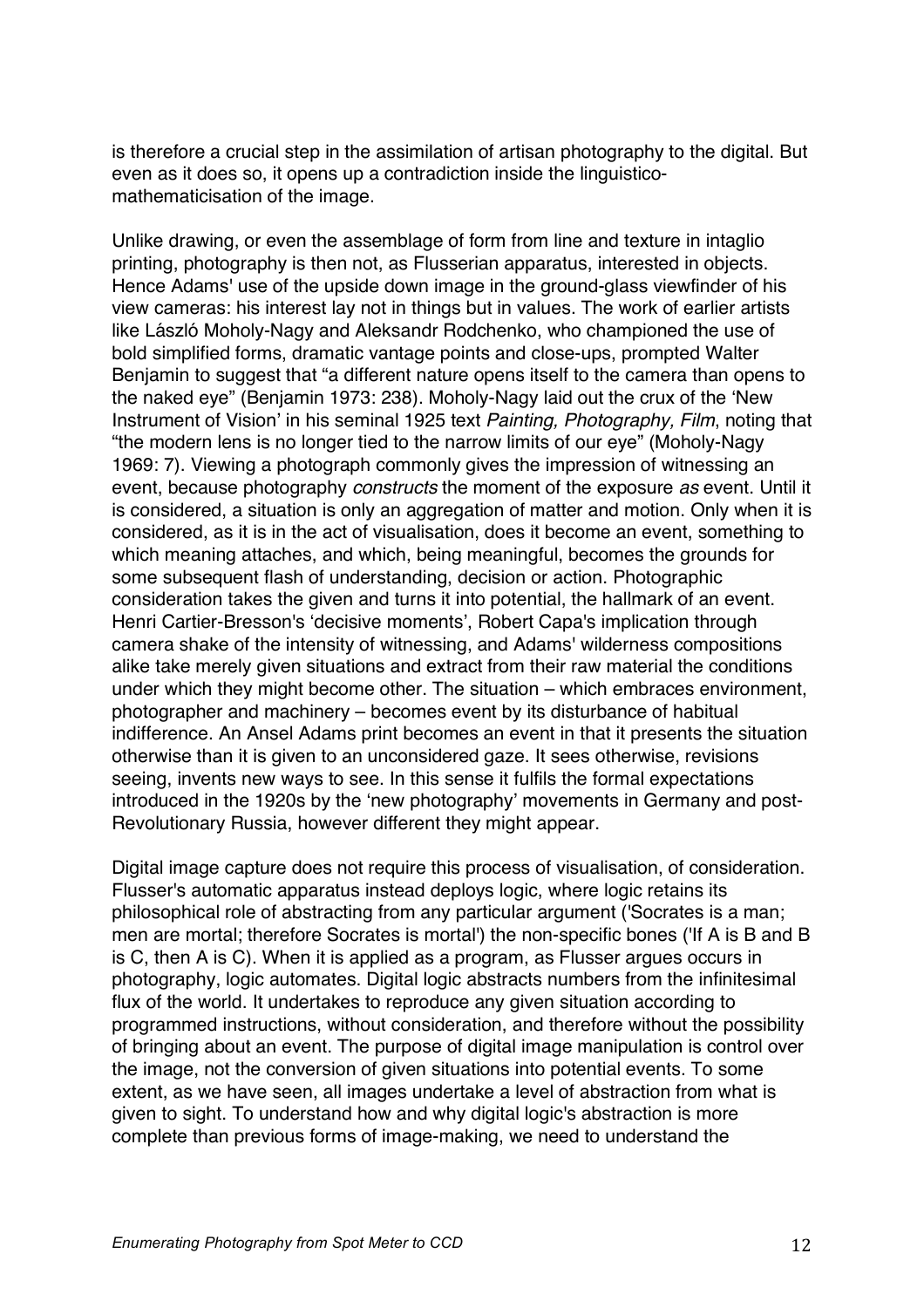is therefore a crucial step in the assimilation of artisan photography to the digital. But even as it does so, it opens up a contradiction inside the linguisticomathematicisation of the image.

Unlike drawing, or even the assemblage of form from line and texture in intaglio printing, photography is then not, as Flusserian apparatus, interested in objects. Hence Adams' use of the upside down image in the ground-glass viewfinder of his view cameras: his interest lay not in things but in values. The work of earlier artists like László Moholy-Nagy and Aleksandr Rodchenko, who championed the use of bold simplified forms, dramatic vantage points and close-ups, prompted Walter Benjamin to suggest that "a different nature opens itself to the camera than opens to the naked eye" (Benjamin 1973: 238). Moholy-Nagy laid out the crux of the ʻNew Instrument of Vision' in his seminal 1925 text *Painting, Photography, Film*, noting that "the modern lens is no longer tied to the narrow limits of our eye" (Moholy-Nagy 1969: 7). Viewing a photograph commonly gives the impression of witnessing an event, because photography *constructs* the moment of the exposure *as* event. Until it is considered, a situation is only an aggregation of matter and motion. Only when it is considered, as it is in the act of visualisation, does it become an event, something to which meaning attaches, and which, being meaningful, becomes the grounds for some subsequent flash of understanding, decision or action. Photographic consideration takes the given and turns it into potential, the hallmark of an event. Henri Cartier-Bresson's ʻdecisive moments', Robert Capa's implication through camera shake of the intensity of witnessing, and Adams' wilderness compositions alike take merely given situations and extract from their raw material the conditions under which they might become other. The situation – which embraces environment, photographer and machinery – becomes event by its disturbance of habitual indifference. An Ansel Adams print becomes an event in that it presents the situation otherwise than it is given to an unconsidered gaze. It sees otherwise, revisions seeing, invents new ways to see. In this sense it fulfils the formal expectations introduced in the 1920s by the ʻnew photography' movements in Germany and post-Revolutionary Russia, however different they might appear.

Digital image capture does not require this process of visualisation, of consideration. Flusser's automatic apparatus instead deploys logic, where logic retains its philosophical role of abstracting from any particular argument ('Socrates is a man; men are mortal; therefore Socrates is mortal') the non-specific bones ('If A is B and B is C, then A is C). When it is applied as a program, as Flusser argues occurs in photography, logic automates. Digital logic abstracts numbers from the infinitesimal flux of the world. It undertakes to reproduce any given situation according to programmed instructions, without consideration, and therefore without the possibility of bringing about an event. The purpose of digital image manipulation is control over the image, not the conversion of given situations into potential events. To some extent, as we have seen, all images undertake a level of abstraction from what is given to sight. To understand how and why digital logic's abstraction is more complete than previous forms of image-making, we need to understand the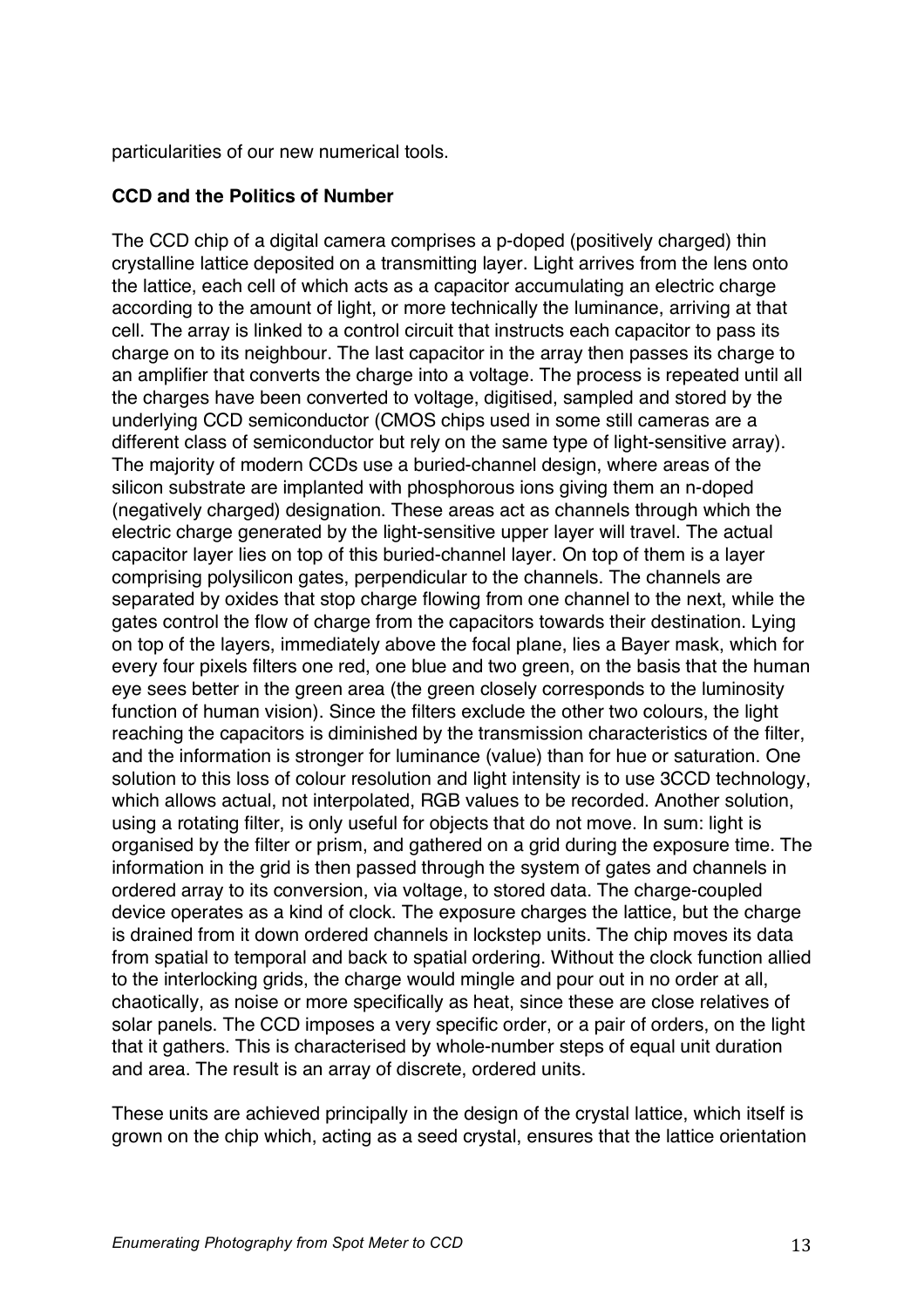particularities of our new numerical tools.

#### **CCD and the Politics of Number**

The CCD chip of a digital camera comprises a p-doped (positively charged) thin crystalline lattice deposited on a transmitting layer. Light arrives from the lens onto the lattice, each cell of which acts as a capacitor accumulating an electric charge according to the amount of light, or more technically the luminance, arriving at that cell. The array is linked to a control circuit that instructs each capacitor to pass its charge on to its neighbour. The last capacitor in the array then passes its charge to an amplifier that converts the charge into a voltage. The process is repeated until all the charges have been converted to voltage, digitised, sampled and stored by the underlying CCD semiconductor (CMOS chips used in some still cameras are a different class of semiconductor but rely on the same type of light-sensitive array). The majority of modern CCDs use a buried-channel design, where areas of the silicon substrate are implanted with phosphorous ions giving them an n-doped (negatively charged) designation. These areas act as channels through which the electric charge generated by the light-sensitive upper layer will travel. The actual capacitor layer lies on top of this buried-channel layer. On top of them is a layer comprising polysilicon gates, perpendicular to the channels. The channels are separated by oxides that stop charge flowing from one channel to the next, while the gates control the flow of charge from the capacitors towards their destination. Lying on top of the layers, immediately above the focal plane, lies a Bayer mask, which for every four pixels filters one red, one blue and two green, on the basis that the human eye sees better in the green area (the green closely corresponds to the luminosity function of human vision). Since the filters exclude the other two colours, the light reaching the capacitors is diminished by the transmission characteristics of the filter, and the information is stronger for luminance (value) than for hue or saturation. One solution to this loss of colour resolution and light intensity is to use 3CCD technology, which allows actual, not interpolated, RGB values to be recorded. Another solution, using a rotating filter, is only useful for objects that do not move. In sum: light is organised by the filter or prism, and gathered on a grid during the exposure time. The information in the grid is then passed through the system of gates and channels in ordered array to its conversion, via voltage, to stored data. The charge-coupled device operates as a kind of clock. The exposure charges the lattice, but the charge is drained from it down ordered channels in lockstep units. The chip moves its data from spatial to temporal and back to spatial ordering. Without the clock function allied to the interlocking grids, the charge would mingle and pour out in no order at all, chaotically, as noise or more specifically as heat, since these are close relatives of solar panels. The CCD imposes a very specific order, or a pair of orders, on the light that it gathers. This is characterised by whole-number steps of equal unit duration and area. The result is an array of discrete, ordered units.

These units are achieved principally in the design of the crystal lattice, which itself is grown on the chip which, acting as a seed crystal, ensures that the lattice orientation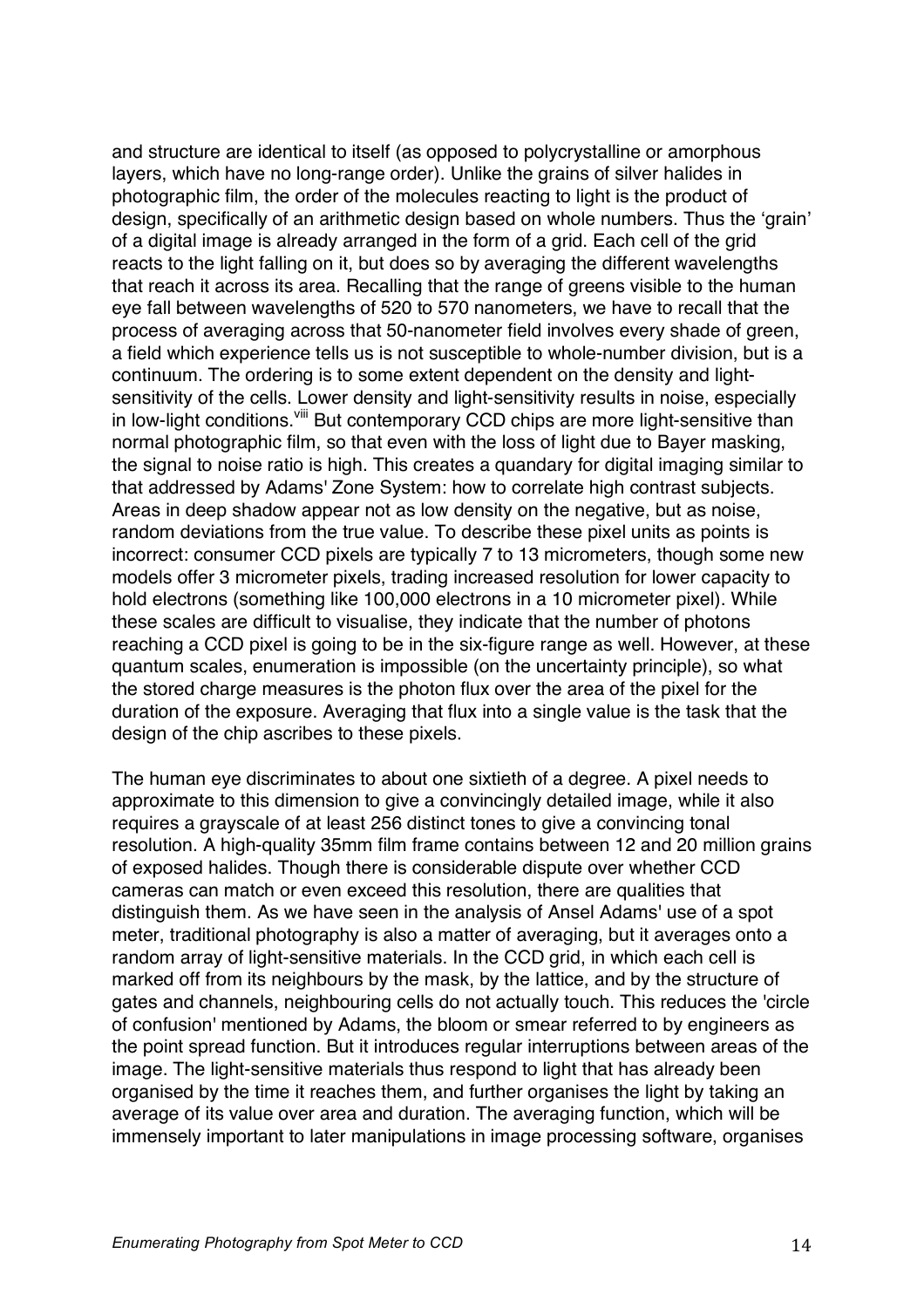and structure are identical to itself (as opposed to polycrystalline or amorphous layers, which have no long-range order). Unlike the grains of silver halides in photographic film, the order of the molecules reacting to light is the product of design, specifically of an arithmetic design based on whole numbers. Thus the ʻgrain' of a digital image is already arranged in the form of a grid. Each cell of the grid reacts to the light falling on it, but does so by averaging the different wavelengths that reach it across its area. Recalling that the range of greens visible to the human eye fall between wavelengths of 520 to 570 nanometers, we have to recall that the process of averaging across that 50-nanometer field involves every shade of green, a field which experience tells us is not susceptible to whole-number division, but is a continuum. The ordering is to some extent dependent on the density and lightsensitivity of the cells. Lower density and light-sensitivity results in noise, especially in low-light conditions.<sup>viii</sup> But contemporary CCD chips are more light-sensitive than normal photographic film, so that even with the loss of light due to Bayer masking, the signal to noise ratio is high. This creates a quandary for digital imaging similar to that addressed by Adams' Zone System: how to correlate high contrast subjects. Areas in deep shadow appear not as low density on the negative, but as noise, random deviations from the true value. To describe these pixel units as points is incorrect: consumer CCD pixels are typically 7 to 13 micrometers, though some new models offer 3 micrometer pixels, trading increased resolution for lower capacity to hold electrons (something like 100,000 electrons in a 10 micrometer pixel). While these scales are difficult to visualise, they indicate that the number of photons reaching a CCD pixel is going to be in the six-figure range as well. However, at these quantum scales, enumeration is impossible (on the uncertainty principle), so what the stored charge measures is the photon flux over the area of the pixel for the duration of the exposure. Averaging that flux into a single value is the task that the design of the chip ascribes to these pixels.

The human eye discriminates to about one sixtieth of a degree. A pixel needs to approximate to this dimension to give a convincingly detailed image, while it also requires a grayscale of at least 256 distinct tones to give a convincing tonal resolution. A high-quality 35mm film frame contains between 12 and 20 million grains of exposed halides. Though there is considerable dispute over whether CCD cameras can match or even exceed this resolution, there are qualities that distinguish them. As we have seen in the analysis of Ansel Adams' use of a spot meter, traditional photography is also a matter of averaging, but it averages onto a random array of light-sensitive materials. In the CCD grid, in which each cell is marked off from its neighbours by the mask, by the lattice, and by the structure of gates and channels, neighbouring cells do not actually touch. This reduces the 'circle of confusion' mentioned by Adams, the bloom or smear referred to by engineers as the point spread function. But it introduces regular interruptions between areas of the image. The light-sensitive materials thus respond to light that has already been organised by the time it reaches them, and further organises the light by taking an average of its value over area and duration. The averaging function, which will be immensely important to later manipulations in image processing software, organises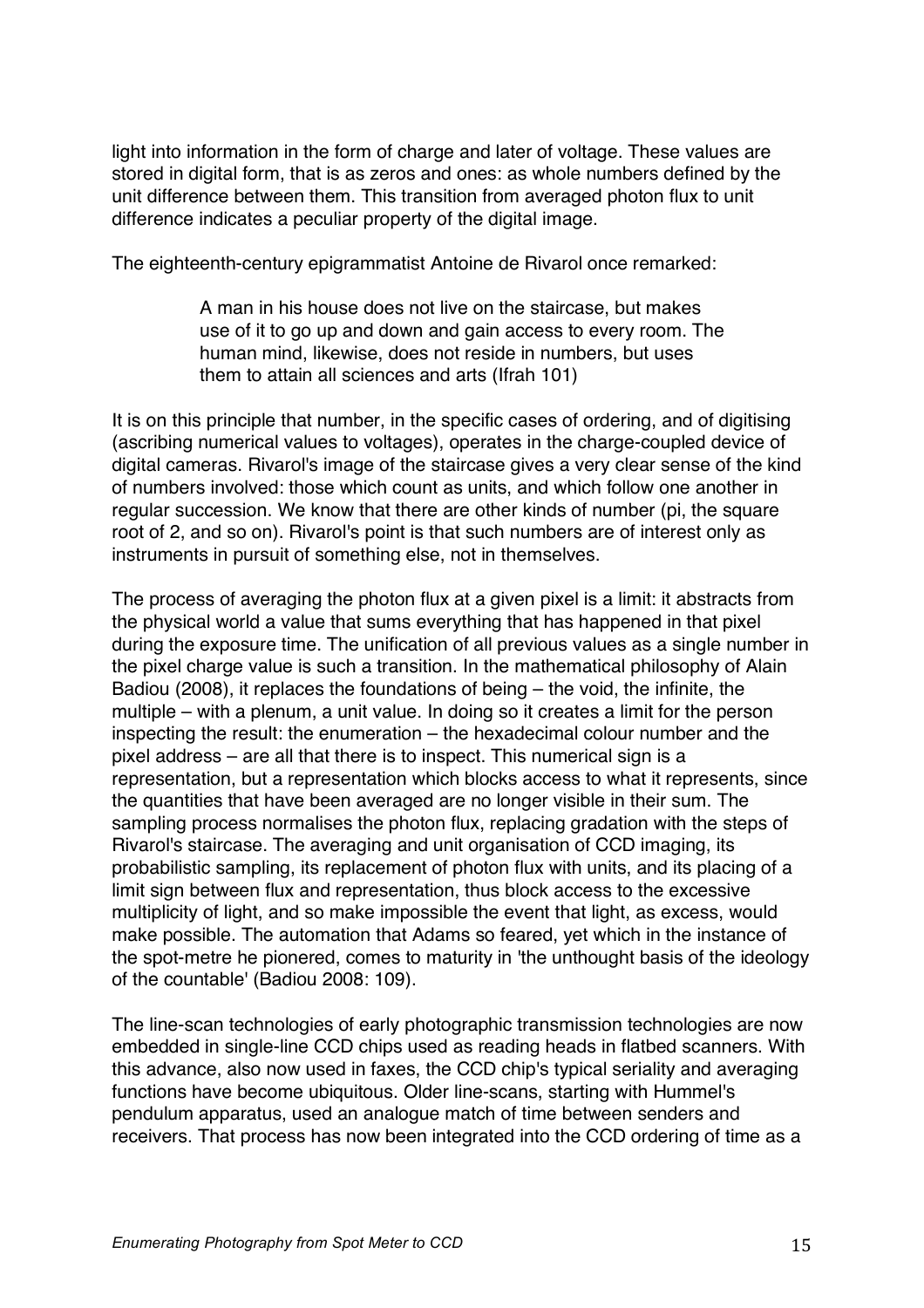light into information in the form of charge and later of voltage. These values are stored in digital form, that is as zeros and ones: as whole numbers defined by the unit difference between them. This transition from averaged photon flux to unit difference indicates a peculiar property of the digital image.

The eighteenth-century epigrammatist Antoine de Rivarol once remarked:

A man in his house does not live on the staircase, but makes use of it to go up and down and gain access to every room. The human mind, likewise, does not reside in numbers, but uses them to attain all sciences and arts (Ifrah 101)

It is on this principle that number, in the specific cases of ordering, and of digitising (ascribing numerical values to voltages), operates in the charge-coupled device of digital cameras. Rivarol's image of the staircase gives a very clear sense of the kind of numbers involved: those which count as units, and which follow one another in regular succession. We know that there are other kinds of number (pi, the square root of 2, and so on). Rivarol's point is that such numbers are of interest only as instruments in pursuit of something else, not in themselves.

The process of averaging the photon flux at a given pixel is a limit: it abstracts from the physical world a value that sums everything that has happened in that pixel during the exposure time. The unification of all previous values as a single number in the pixel charge value is such a transition. In the mathematical philosophy of Alain Badiou (2008), it replaces the foundations of being – the void, the infinite, the multiple – with a plenum, a unit value. In doing so it creates a limit for the person inspecting the result: the enumeration – the hexadecimal colour number and the pixel address – are all that there is to inspect. This numerical sign is a representation, but a representation which blocks access to what it represents, since the quantities that have been averaged are no longer visible in their sum. The sampling process normalises the photon flux, replacing gradation with the steps of Rivarol's staircase. The averaging and unit organisation of CCD imaging, its probabilistic sampling, its replacement of photon flux with units, and its placing of a limit sign between flux and representation, thus block access to the excessive multiplicity of light, and so make impossible the event that light, as excess, would make possible. The automation that Adams so feared, yet which in the instance of the spot-metre he pionered, comes to maturity in 'the unthought basis of the ideology of the countable' (Badiou 2008: 109).

The line-scan technologies of early photographic transmission technologies are now embedded in single-line CCD chips used as reading heads in flatbed scanners. With this advance, also now used in faxes, the CCD chip's typical seriality and averaging functions have become ubiquitous. Older line-scans, starting with Hummel's pendulum apparatus, used an analogue match of time between senders and receivers. That process has now been integrated into the CCD ordering of time as a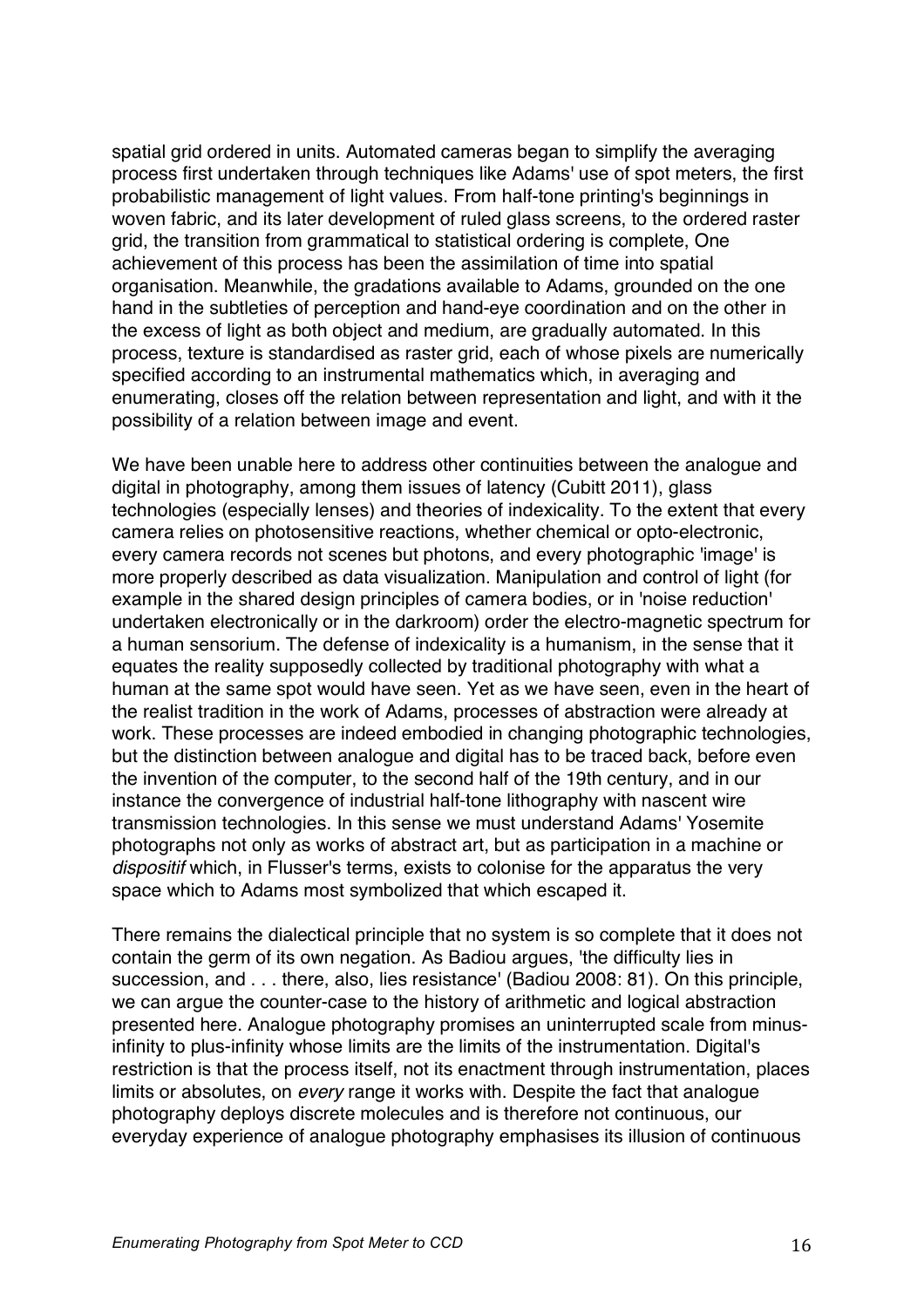spatial grid ordered in units. Automated cameras began to simplify the averaging process first undertaken through techniques like Adams' use of spot meters, the first probabilistic management of light values. From half-tone printing's beginnings in woven fabric, and its later development of ruled glass screens, to the ordered raster grid, the transition from grammatical to statistical ordering is complete, One achievement of this process has been the assimilation of time into spatial organisation. Meanwhile, the gradations available to Adams, grounded on the one hand in the subtleties of perception and hand-eye coordination and on the other in the excess of light as both object and medium, are gradually automated. In this process, texture is standardised as raster grid, each of whose pixels are numerically specified according to an instrumental mathematics which, in averaging and enumerating, closes off the relation between representation and light, and with it the possibility of a relation between image and event.

We have been unable here to address other continuities between the analogue and digital in photography, among them issues of latency (Cubitt 2011), glass technologies (especially lenses) and theories of indexicality. To the extent that every camera relies on photosensitive reactions, whether chemical or opto-electronic, every camera records not scenes but photons, and every photographic 'image' is more properly described as data visualization. Manipulation and control of light (for example in the shared design principles of camera bodies, or in 'noise reduction' undertaken electronically or in the darkroom) order the electro-magnetic spectrum for a human sensorium. The defense of indexicality is a humanism, in the sense that it equates the reality supposedly collected by traditional photography with what a human at the same spot would have seen. Yet as we have seen, even in the heart of the realist tradition in the work of Adams, processes of abstraction were already at work. These processes are indeed embodied in changing photographic technologies, but the distinction between analogue and digital has to be traced back, before even the invention of the computer, to the second half of the 19th century, and in our instance the convergence of industrial half-tone lithography with nascent wire transmission technologies. In this sense we must understand Adams' Yosemite photographs not only as works of abstract art, but as participation in a machine or *dispositif* which, in Flusser's terms, exists to colonise for the apparatus the very space which to Adams most symbolized that which escaped it.

There remains the dialectical principle that no system is so complete that it does not contain the germ of its own negation. As Badiou argues, 'the difficulty lies in succession, and . . . there, also, lies resistance' (Badiou 2008: 81). On this principle, we can argue the counter-case to the history of arithmetic and logical abstraction presented here. Analogue photography promises an uninterrupted scale from minusinfinity to plus-infinity whose limits are the limits of the instrumentation. Digital's restriction is that the process itself, not its enactment through instrumentation, places limits or absolutes, on *every* range it works with. Despite the fact that analogue photography deploys discrete molecules and is therefore not continuous, our everyday experience of analogue photography emphasises its illusion of continuous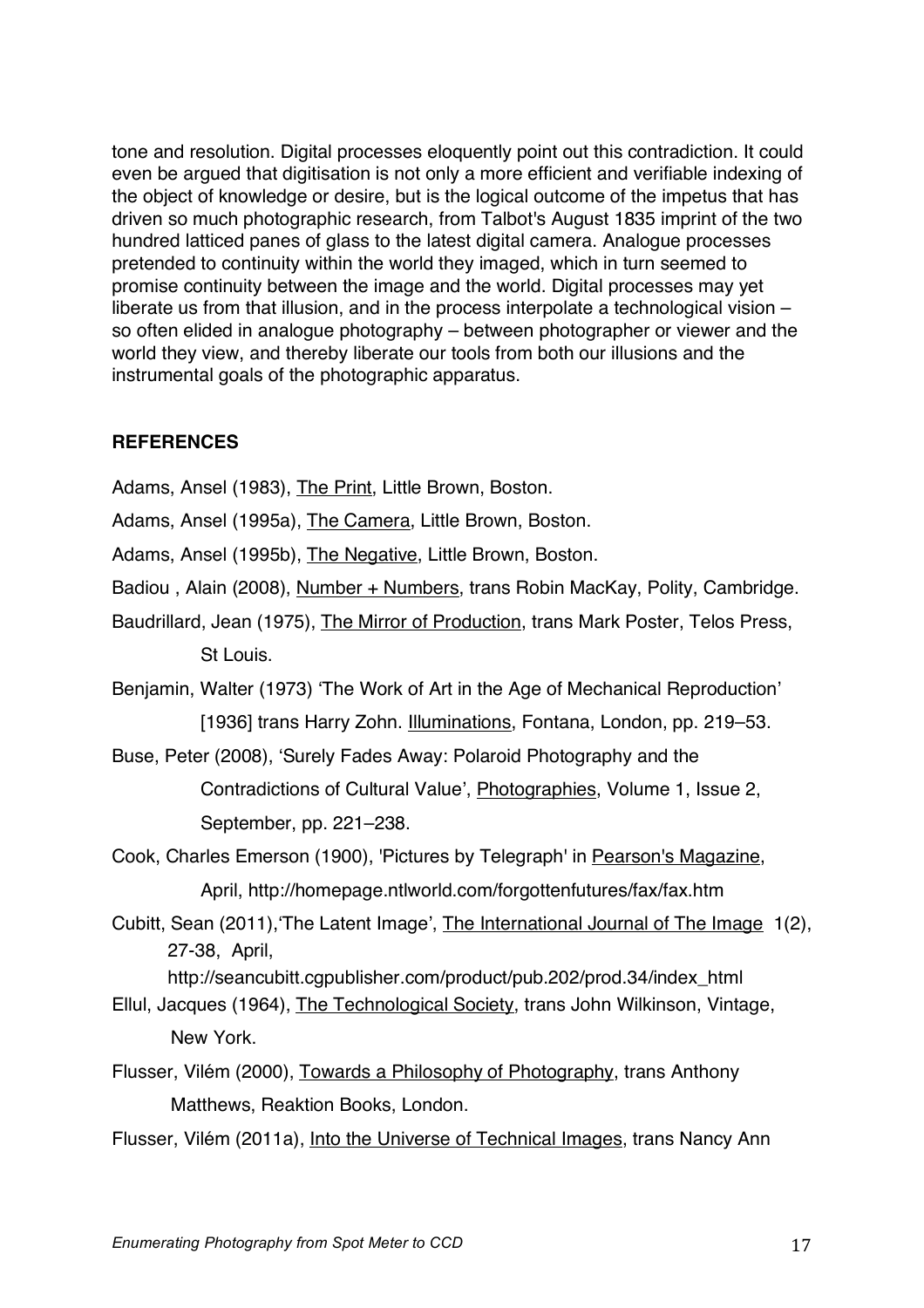tone and resolution. Digital processes eloquently point out this contradiction. It could even be argued that digitisation is not only a more efficient and verifiable indexing of the object of knowledge or desire, but is the logical outcome of the impetus that has driven so much photographic research, from Talbot's August 1835 imprint of the two hundred latticed panes of glass to the latest digital camera. Analogue processes pretended to continuity within the world they imaged, which in turn seemed to promise continuity between the image and the world. Digital processes may yet liberate us from that illusion, and in the process interpolate a technological vision – so often elided in analogue photography – between photographer or viewer and the world they view, and thereby liberate our tools from both our illusions and the instrumental goals of the photographic apparatus.

### **REFERENCES**

- Adams, Ansel (1983), The Print, Little Brown, Boston.
- Adams, Ansel (1995a), The Camera, Little Brown, Boston.
- Adams, Ansel (1995b), The Negative, Little Brown, Boston.
- Badiou, Alain (2008), Number + Numbers, trans Robin MacKay, Polity, Cambridge.
- Baudrillard, Jean (1975), The Mirror of Production, trans Mark Poster, Telos Press, St Louis.
- Benjamin, Walter (1973) ʻThe Work of Art in the Age of Mechanical Reproduction' [1936] trans Harry Zohn. Illuminations, Fontana, London, pp. 219–53.
- Buse, Peter (2008), ʻSurely Fades Away: Polaroid Photography and the Contradictions of Cultural Value', Photographies, Volume 1, Issue 2, September, pp. 221–238.
- Cook, Charles Emerson (1900), 'Pictures by Telegraph' in Pearson's Magazine, April, http://homepage.ntlworld.com/forgottenfutures/fax/fax.htm
- Cubitt, Sean (2011),ʻThe Latent Image', The International Journal of The Image 1(2), 27-38, April,

http://seancubitt.cgpublisher.com/product/pub.202/prod.34/index\_html

- Ellul, Jacques (1964), The Technological Society, trans John Wilkinson, Vintage, New York.
- Flusser, Vilém (2000), Towards a Philosophy of Photography, trans Anthony Matthews, Reaktion Books, London.
- Flusser, Vilém (2011a), Into the Universe of Technical Images, trans Nancy Ann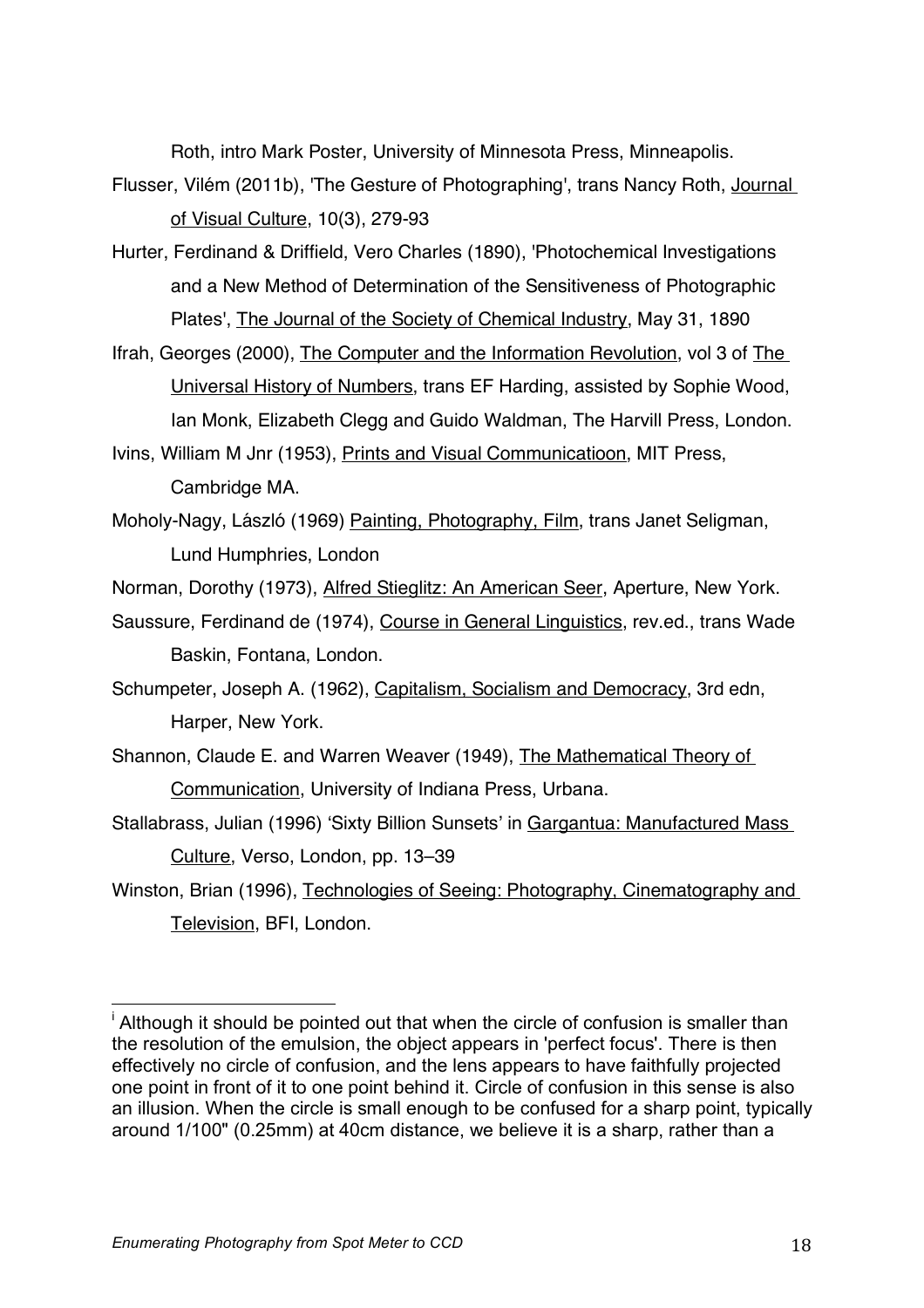Roth, intro Mark Poster, University of Minnesota Press, Minneapolis.

- Flusser, Vilém (2011b), 'The Gesture of Photographing', trans Nancy Roth, Journal of Visual Culture, 10(3), 279-93
- Hurter, Ferdinand & Driffield, Vero Charles (1890), 'Photochemical Investigations and a New Method of Determination of the Sensitiveness of Photographic Plates', The Journal of the Society of Chemical Industry, May 31, 1890
- Ifrah, Georges (2000), The Computer and the Information Revolution, vol 3 of The Universal History of Numbers, trans EF Harding, assisted by Sophie Wood, Ian Monk, Elizabeth Clegg and Guido Waldman, The Harvill Press, London.
- Ivins, William M Jnr (1953), Prints and Visual Communicatioon, MIT Press, Cambridge MA.
- Moholy-Nagy, László (1969) Painting, Photography, Film, trans Janet Seligman, Lund Humphries, London
- Norman, Dorothy (1973), Alfred Stieglitz: An American Seer, Aperture, New York.
- Saussure, Ferdinand de (1974), Course in General Linguistics, rev.ed., trans Wade Baskin, Fontana, London.
- Schumpeter, Joseph A. (1962), Capitalism, Socialism and Democracy, 3rd edn, Harper, New York.
- Shannon, Claude E. and Warren Weaver (1949), The Mathematical Theory of Communication, University of Indiana Press, Urbana.
- Stallabrass, Julian (1996) ʻSixty Billion Sunsets' in Gargantua: Manufactured Mass Culture, Verso, London, pp. 13–39
- Winston, Brian (1996), Technologies of Seeing: Photography, Cinematography and Television, BFI, London.

<sup>&</sup>quot;"""""""""""""""""""""""""""""""""""""""""""""""""""""" <sup>i</sup> Although it should be pointed out that when the circle of confusion is smaller than the resolution of the emulsion, the object appears in 'perfect focus'. There is then effectively no circle of confusion, and the lens appears to have faithfully projected one point in front of it to one point behind it. Circle of confusion in this sense is also an illusion. When the circle is small enough to be confused for a sharp point, typically around 1/100" (0.25mm) at 40cm distance, we believe it is a sharp, rather than a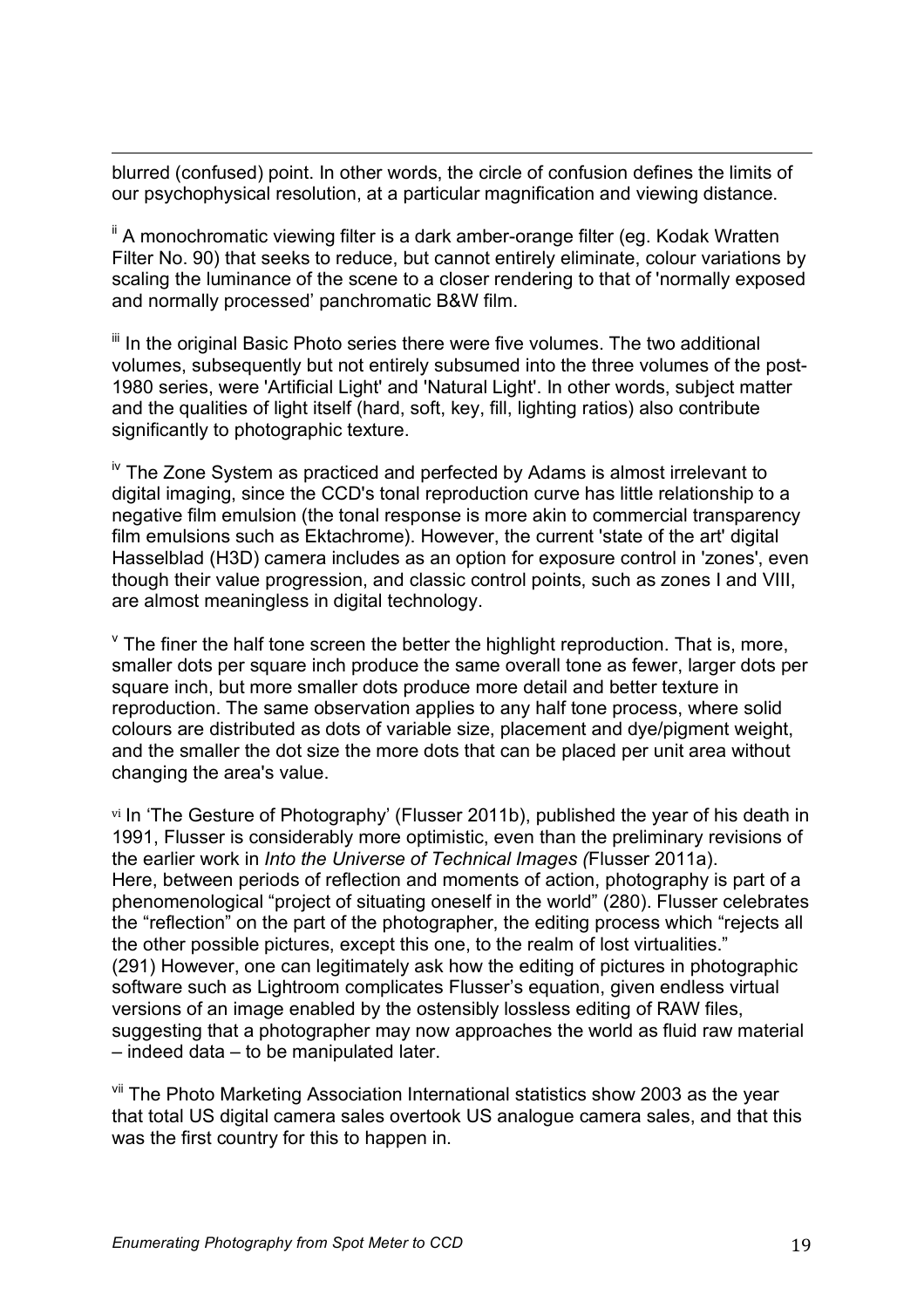blurred (confused) point. In other words, the circle of confusion defines the limits of our psychophysical resolution, at a particular magnification and viewing distance.

"""""""""""""""""""""""""""""""""""""""""""""""""""""""""""""""""""""""""""""""""""""""""""""""""""""""""""""""""""""""""""""""""""""""""""""""""""""""""""""""""""""""""""

<sup>ii</sup> A monochromatic viewing filter is a dark amber-orange filter (eg. Kodak Wratten Filter No. 90) that seeks to reduce, but cannot entirely eliminate, colour variations by scaling the luminance of the scene to a closer rendering to that of 'normally exposed and normally processed' panchromatic B&W film.

If In the original Basic Photo series there were five volumes. The two additional volumes, subsequently but not entirely subsumed into the three volumes of the post-1980 series, were 'Artificial Light' and 'Natural Light'. In other words, subject matter and the qualities of light itself (hard, soft, key, fill, lighting ratios) also contribute significantly to photographic texture.

 $\mu$ <sup>N</sup> The Zone System as practiced and perfected by Adams is almost irrelevant to digital imaging, since the CCD's tonal reproduction curve has little relationship to a negative film emulsion (the tonal response is more akin to commercial transparency film emulsions such as Ektachrome). However, the current 'state of the art' digital Hasselblad (H3D) camera includes as an option for exposure control in 'zones', even though their value progression, and classic control points, such as zones I and VIII, are almost meaningless in digital technology.

 $\mathbf v$  The finer the half tone screen the better the highlight reproduction. That is, more, smaller dots per square inch produce the same overall tone as fewer, larger dots per square inch, but more smaller dots produce more detail and better texture in reproduction. The same observation applies to any half tone process, where solid colours are distributed as dots of variable size, placement and dye/pigment weight, and the smaller the dot size the more dots that can be placed per unit area without changing the area's value.

vi In 'The Gesture of Photography' (Flusser 2011b), published the year of his death in 1991, Flusser is considerably more optimistic, even than the preliminary revisions of the earlier work in *Into the Universe of Technical Images (*Flusser 2011a). Here, between periods of reflection and moments of action, photography is part of a phenomenological "project of situating oneself in the world" (280). Flusser celebrates the "reflection" on the part of the photographer, the editing process which "rejects all the other possible pictures, except this one, to the realm of lost virtualities." (291) However, one can legitimately ask how the editing of pictures in photographic software such as Lightroom complicates Flusser's equation, given endless virtual versions of an image enabled by the ostensibly lossless editing of RAW files, suggesting that a photographer may now approaches the world as fluid raw material – indeed data – to be manipulated later.

vii The Photo Marketing Association International statistics show 2003 as the year that total US digital camera sales overtook US analogue camera sales, and that this was the first country for this to happen in.